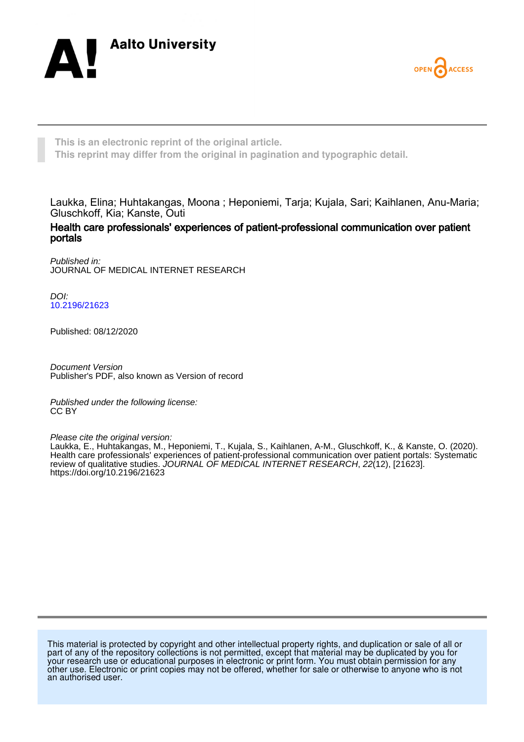



**This is an electronic reprint of the original article. This reprint may differ from the original in pagination and typographic detail.**

Laukka, Elina; Huhtakangas, Moona ; Heponiemi, Tarja; Kujala, Sari; Kaihlanen, Anu-Maria; Gluschkoff, Kia; Kanste, Outi

Health care professionals' experiences of patient-professional communication over patient portals

Published in: JOURNAL OF MEDICAL INTERNET RESEARCH

DOI: [10.2196/21623](https://doi.org/10.2196/21623)

Published: 08/12/2020

Document Version Publisher's PDF, also known as Version of record

Published under the following license: CC BY

Please cite the original version:

Laukka, E., Huhtakangas, M., Heponiemi, T., Kujala, S., Kaihlanen, A-M., Gluschkoff, K., & Kanste, O. (2020). Health care professionals' experiences of patient-professional communication over patient portals: Systematic review of qualitative studies. JOURNAL OF MEDICAL INTERNET RESEARCH, 22(12), [21623]. <https://doi.org/10.2196/21623>

This material is protected by copyright and other intellectual property rights, and duplication or sale of all or part of any of the repository collections is not permitted, except that material may be duplicated by you for your research use or educational purposes in electronic or print form. You must obtain permission for any other use. Electronic or print copies may not be offered, whether for sale or otherwise to anyone who is not an authorised user.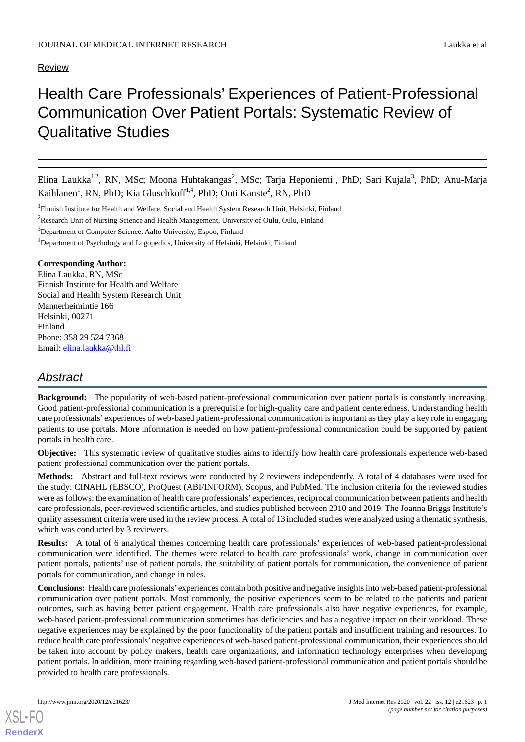#### Review

# Health Care Professionals' Experiences of Patient-Professional Communication Over Patient Portals: Systematic Review of Qualitative Studies

Elina Laukka<sup>1,2</sup>, RN, MSc; Moona Huhtakangas<sup>2</sup>, MSc; Tarja Heponiemi<sup>1</sup>, PhD; Sari Kujala<sup>3</sup>, PhD; Anu-Marja Kaihlanen<sup>1</sup>, RN, PhD; Kia Gluschkoff<sup>1,4</sup>, PhD; Outi Kanste<sup>2</sup>, RN, PhD

<sup>3</sup>Department of Computer Science, Aalto University, Espoo, Finland

<sup>4</sup>Department of Psychology and Logopedics, University of Helsinki, Helsinki, Finland

## **Corresponding Author:**

Elina Laukka, RN, MSc Finnish Institute for Health and Welfare Social and Health System Research Unit Mannerheimintie 166 Helsinki, 00271 Finland Phone: 358 29 524 7368 Email: [elina.laukka@thl.fi](mailto:elina.laukka@thl.fi)

## *Abstract*

**Background:** The popularity of web-based patient-professional communication over patient portals is constantly increasing. Good patient-professional communication is a prerequisite for high-quality care and patient centeredness. Understanding health care professionals' experiences of web-based patient-professional communication is important as they play a key role in engaging patients to use portals. More information is needed on how patient-professional communication could be supported by patient portals in health care.

**Objective:** This systematic review of qualitative studies aims to identify how health care professionals experience web-based patient-professional communication over the patient portals.

**Methods:** Abstract and full-text reviews were conducted by 2 reviewers independently. A total of 4 databases were used for the study: CINAHL (EBSCO), ProQuest (ABI/INFORM), Scopus, and PubMed. The inclusion criteria for the reviewed studies were as follows: the examination of health care professionals' experiences, reciprocal communication between patients and health care professionals, peer-reviewed scientific articles, and studies published between 2010 and 2019. The Joanna Briggs Institute's quality assessment criteria were used in the review process. A total of 13 included studies were analyzed using a thematic synthesis, which was conducted by 3 reviewers.

**Results:** A total of 6 analytical themes concerning health care professionals' experiences of web-based patient-professional communication were identified. The themes were related to health care professionals' work, change in communication over patient portals, patients' use of patient portals, the suitability of patient portals for communication, the convenience of patient portals for communication, and change in roles.

**Conclusions:** Health care professionals'experiences contain both positive and negative insights into web-based patient-professional communication over patient portals. Most commonly, the positive experiences seem to be related to the patients and patient outcomes, such as having better patient engagement. Health care professionals also have negative experiences, for example, web-based patient-professional communication sometimes has deficiencies and has a negative impact on their workload. These negative experiences may be explained by the poor functionality of the patient portals and insufficient training and resources. To reduce health care professionals'negative experiences of web-based patient-professional communication, their experiences should be taken into account by policy makers, health care organizations, and information technology enterprises when developing patient portals. In addition, more training regarding web-based patient-professional communication and patient portals should be provided to health care professionals.

<sup>&</sup>lt;sup>1</sup>Finnish Institute for Health and Welfare, Social and Health System Research Unit, Helsinki, Finland

<sup>&</sup>lt;sup>2</sup>Research Unit of Nursing Science and Health Management, University of Oulu, Oulu, Finland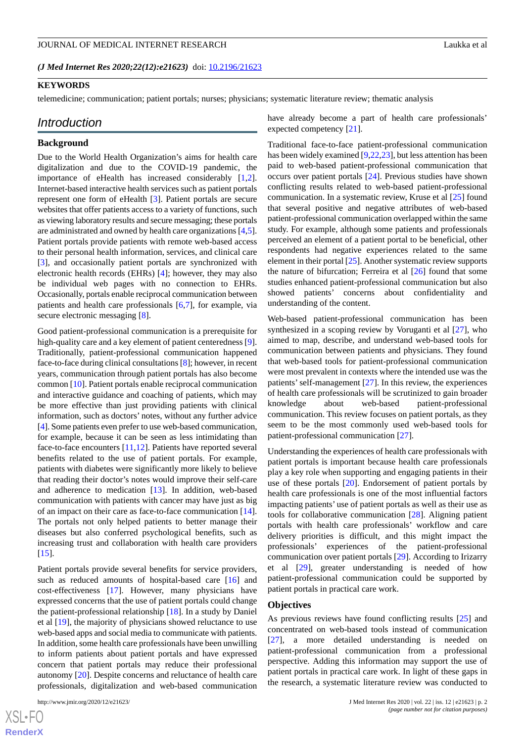*(J Med Internet Res 2020;22(12):e21623)* doi:  $10.2196/21623$ 

## **KEYWORDS**

telemedicine; communication; patient portals; nurses; physicians; systematic literature review; thematic analysis

#### *Introduction*

#### **Background**

Due to the World Health Organization's aims for health care digitalization and due to the COVID-19 pandemic, the importance of eHealth has increased considerably [\[1](#page-15-0),[2\]](#page-15-1). Internet-based interactive health services such as patient portals represent one form of eHealth [[3\]](#page-15-2). Patient portals are secure websites that offer patients access to a variety of functions, such as viewing laboratory results and secure messaging; these portals are administrated and owned by health care organizations [\[4](#page-15-3),[5\]](#page-15-4). Patient portals provide patients with remote web-based access to their personal health information, services, and clinical care [[3\]](#page-15-2), and occasionally patient portals are synchronized with electronic health records (EHRs) [[4\]](#page-15-3); however, they may also be individual web pages with no connection to EHRs. Occasionally, portals enable reciprocal communication between patients and health care professionals [[6,](#page-15-5)[7](#page-15-6)], for example, via secure electronic messaging [\[8\]](#page-15-7).

Good patient-professional communication is a prerequisite for high-quality care and a key element of patient centeredness [[9\]](#page-15-8). Traditionally, patient-professional communication happened face-to-face during clinical consultations [[8](#page-15-7)]; however, in recent years, communication through patient portals has also become common [[10\]](#page-15-9). Patient portals enable reciprocal communication and interactive guidance and coaching of patients, which may be more effective than just providing patients with clinical information, such as doctors' notes, without any further advice [[4\]](#page-15-3). Some patients even prefer to use web-based communication, for example, because it can be seen as less intimidating than face-to-face encounters [[11](#page-15-10)[,12](#page-15-11)]. Patients have reported several benefits related to the use of patient portals. For example, patients with diabetes were significantly more likely to believe that reading their doctor's notes would improve their self-care and adherence to medication [[13\]](#page-15-12). In addition, web-based communication with patients with cancer may have just as big of an impact on their care as face-to-face communication [[14\]](#page-15-13). The portals not only helped patients to better manage their diseases but also conferred psychological benefits, such as increasing trust and collaboration with health care providers  $[15]$  $[15]$ .

Patient portals provide several benefits for service providers, such as reduced amounts of hospital-based care [\[16](#page-15-15)] and cost-effectiveness [\[17](#page-15-16)]. However, many physicians have expressed concerns that the use of patient portals could change the patient-professional relationship [\[18](#page-15-17)]. In a study by Daniel et al [[19\]](#page-16-0), the majority of physicians showed reluctance to use web-based apps and social media to communicate with patients. In addition, some health care professionals have been unwilling to inform patients about patient portals and have expressed concern that patient portals may reduce their professional autonomy [\[20](#page-16-1)]. Despite concerns and reluctance of health care professionals, digitalization and web-based communication

have already become a part of health care professionals' expected competency [[21\]](#page-16-2).

Traditional face-to-face patient-professional communication has been widely examined [[9,](#page-15-8)[22](#page-16-3),[23\]](#page-16-4), but less attention has been paid to web-based patient-professional communication that occurs over patient portals [[24\]](#page-16-5). Previous studies have shown conflicting results related to web-based patient-professional communication. In a systematic review, Kruse et al [[25\]](#page-16-6) found that several positive and negative attributes of web-based patient-professional communication overlapped within the same study. For example, although some patients and professionals perceived an element of a patient portal to be beneficial, other respondents had negative experiences related to the same element in their portal [\[25\]](#page-16-6). Another systematic review supports the nature of bifurcation; Ferreira et al  $[26]$  $[26]$  found that some studies enhanced patient-professional communication but also showed patients' concerns about confidentiality and understanding of the content.

Web-based patient-professional communication has been synthesized in a scoping review by Voruganti et al [\[27](#page-16-8)], who aimed to map, describe, and understand web-based tools for communication between patients and physicians. They found that web-based tools for patient-professional communication were most prevalent in contexts where the intended use was the patients' self-management  $[27]$  $[27]$ . In this review, the experiences of health care professionals will be scrutinized to gain broader knowledge about web-based patient-professional communication. This review focuses on patient portals, as they seem to be the most commonly used web-based tools for patient-professional communication [[27\]](#page-16-8).

Understanding the experiences of health care professionals with patient portals is important because health care professionals play a key role when supporting and engaging patients in their use of these portals [[20\]](#page-16-1). Endorsement of patient portals by health care professionals is one of the most influential factors impacting patients' use of patient portals as well as their use as tools for collaborative communication [[28\]](#page-16-9). Aligning patient portals with health care professionals' workflow and care delivery priorities is difficult, and this might impact the professionals' experiences of the patient-professional communication over patient portals [\[29](#page-16-10)]. According to Irizarry et al [\[29](#page-16-10)], greater understanding is needed of how patient-professional communication could be supported by patient portals in practical care work.

#### **Objectives**

As previous reviews have found conflicting results [\[25](#page-16-6)] and concentrated on web-based tools instead of communication [[27\]](#page-16-8), a more detailed understanding is needed on patient-professional communication from a professional perspective. Adding this information may support the use of patient portals in practical care work. In light of these gaps in the research, a systematic literature review was conducted to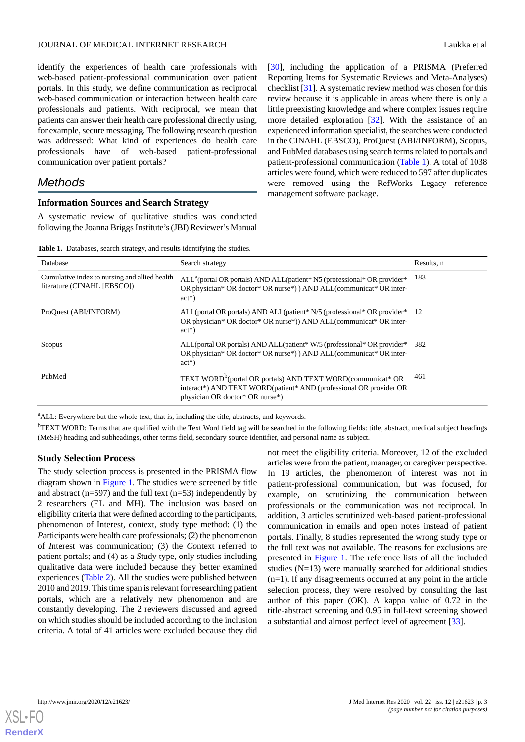identify the experiences of health care professionals with web-based patient-professional communication over patient portals. In this study, we define communication as reciprocal web-based communication or interaction between health care professionals and patients. With reciprocal, we mean that patients can answer their health care professional directly using, for example, secure messaging. The following research question was addressed: What kind of experiences do health care professionals have of web-based patient-professional communication over patient portals?

## *Methods*

#### **Information Sources and Search Strategy**

<span id="page-3-0"></span>A systematic review of qualitative studies was conducted following the Joanna Briggs Institute's (JBI) Reviewer's Manual [[30\]](#page-16-11), including the application of a PRISMA (Preferred Reporting Items for Systematic Reviews and Meta-Analyses) checklist [[31\]](#page-16-12). A systematic review method was chosen for this review because it is applicable in areas where there is only a little preexisting knowledge and where complex issues require more detailed exploration [[32\]](#page-16-13). With the assistance of an experienced information specialist, the searches were conducted in the CINAHL (EBSCO), ProQuest (ABI/INFORM), Scopus, and PubMed databases using search terms related to portals and patient-professional communication ([Table 1](#page-3-0)). A total of 1038 articles were found, which were reduced to 597 after duplicates were removed using the RefWorks Legacy reference management software package.

**Table 1.** Databases, search strategy, and results identifying the studies.

| Database                                                                     | Search strategy                                                                                                                                                                  | Results, n |
|------------------------------------------------------------------------------|----------------------------------------------------------------------------------------------------------------------------------------------------------------------------------|------------|
| Cumulative index to nursing and allied health<br>literature (CINAHL [EBSCO]) | $ALL^a$ (portal OR portals) AND ALL(patient* N5 (professional* OR provider*<br>OR physician* OR doctor* OR nurse*) AND ALL(communicat* OR inter-<br>$act^*)$                     | 183        |
| ProQuest (ABI/INFORM)                                                        | ALL(portal OR portals) AND ALL(patient* N/5 (professional* OR provider* 12<br>OR physician* OR doctor* OR nurse*)) AND ALL(communicat* OR inter-<br>$act^*)$                     |            |
| Scopus                                                                       | ALL(portal OR portals) AND ALL(patient* W/5 (professional* OR provider*<br>OR physician* OR doctor* OR nurse*) AND ALL(communicat* OR inter-<br>$act^*)$                         | 382        |
| PubMed                                                                       | TEXT WORD <sup>b</sup> (portal OR portals) AND TEXT WORD(communicat* OR<br>interact*) AND TEXT WORD(patient* AND (professional OR provider OR<br>physician OR doctor* OR nurse*) | 461        |

<sup>a</sup>ALL: Everywhere but the whole text, that is, including the title, abstracts, and keywords.

 $<sup>b</sup>TEXT WORD: Terms that are qualified with the Text Word field tag will be searched in the following fields: title, abstract, medical subject headings$ </sup> (MeSH) heading and subheadings, other terms field, secondary source identifier, and personal name as subject.

#### **Study Selection Process**

The study selection process is presented in the PRISMA flow diagram shown in [Figure 1](#page-4-0). The studies were screened by title and abstract ( $n=597$ ) and the full text ( $n=53$ ) independently by 2 researchers (EL and MH). The inclusion was based on eligibility criteria that were defined according to the participants, phenomenon of Interest, context, study type method: (1) the *P*articipants were health care professionals; (2) the phenomenon of *I*nterest was communication; (3) the *Co*ntext referred to patient portals; and (4) as a *S*tudy type, only studies including qualitative data were included because they better examined experiences ([Table 2](#page-4-1)). All the studies were published between 2010 and 2019. This time span is relevant for researching patient portals, which are a relatively new phenomenon and are constantly developing. The 2 reviewers discussed and agreed on which studies should be included according to the inclusion criteria. A total of 41 articles were excluded because they did

not meet the eligibility criteria. Moreover, 12 of the excluded articles were from the patient, manager, or caregiver perspective. In 19 articles, the phenomenon of interest was not in patient-professional communication, but was focused, for example, on scrutinizing the communication between professionals or the communication was not reciprocal. In addition, 3 articles scrutinized web-based patient-professional communication in emails and open notes instead of patient portals. Finally, 8 studies represented the wrong study type or the full text was not available. The reasons for exclusions are presented in [Figure 1.](#page-4-0) The reference lists of all the included studies (N=13) were manually searched for additional studies (n=1). If any disagreements occurred at any point in the article selection process, they were resolved by consulting the last author of this paper (OK). A kappa value of 0.72 in the title-abstract screening and 0.95 in full-text screening showed a substantial and almost perfect level of agreement [\[33](#page-16-14)].

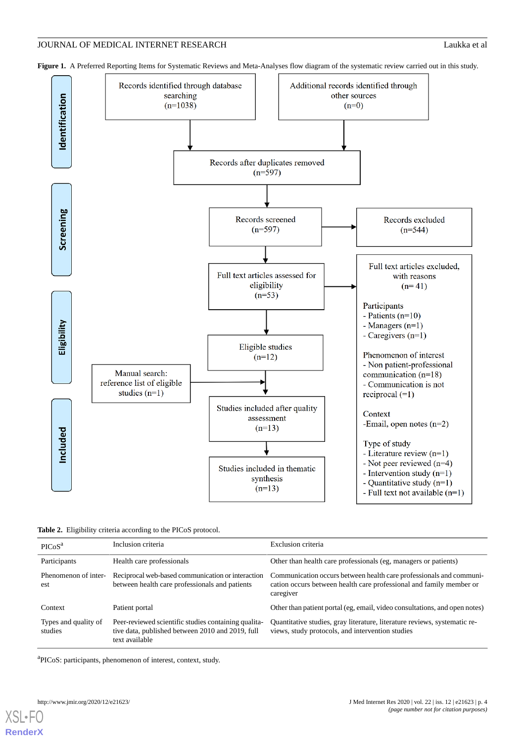

<span id="page-4-0"></span>Figure 1. A Preferred Reporting Items for Systematic Reviews and Meta-Analyses flow diagram of the systematic review carried out in this study.

<span id="page-4-1"></span>**Table 2.** Eligibility criteria according to the PICoS protocol.

| PICoS <sup>a</sup>              | Inclusion criteria                                                                                                         | Exclusion criteria                                                                                                                                      |
|---------------------------------|----------------------------------------------------------------------------------------------------------------------------|---------------------------------------------------------------------------------------------------------------------------------------------------------|
| Participants                    | Health care professionals                                                                                                  | Other than health care professionals (eg, managers or patients)                                                                                         |
| Phenomenon of inter-<br>est     | Reciprocal web-based communication or interaction<br>between health care professionals and patients                        | Communication occurs between health care professionals and communi-<br>cation occurs between health care professional and family member or<br>caregiver |
| Context                         | Patient portal                                                                                                             | Other than patient portal (eg, email, video consultations, and open notes)                                                                              |
| Types and quality of<br>studies | Peer-reviewed scientific studies containing qualita-<br>tive data, published between 2010 and 2019, full<br>text available | Quantitative studies, gray literature, literature reviews, systematic re-<br>views, study protocols, and intervention studies                           |

<sup>a</sup>PICoS: participants, phenomenon of interest, context, study.

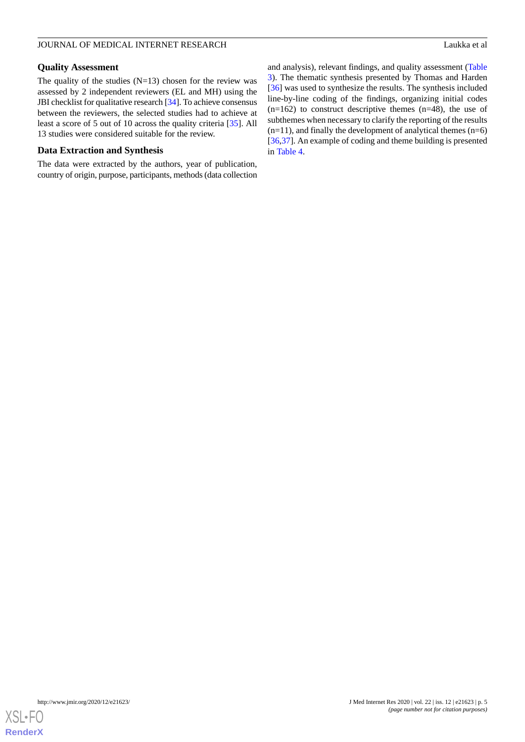## **Quality Assessment**

The quality of the studies  $(N=13)$  chosen for the review was assessed by 2 independent reviewers (EL and MH) using the JBI checklist for qualitative research [\[34\]](#page-16-15). To achieve consensus between the reviewers, the selected studies had to achieve at least a score of 5 out of 10 across the quality criteria [\[35](#page-16-16)]. All 13 studies were considered suitable for the review.

### **Data Extraction and Synthesis**

The data were extracted by the authors, year of publication, country of origin, purpose, participants, methods (data collection

and analysis), relevant findings, and quality assessment ([Table](#page-6-0) [3\)](#page-6-0). The thematic synthesis presented by Thomas and Harden [[36\]](#page-16-17) was used to synthesize the results. The synthesis included line-by-line coding of the findings, organizing initial codes  $(n=162)$  to construct descriptive themes  $(n=48)$ , the use of subthemes when necessary to clarify the reporting of the results  $(n=11)$ , and finally the development of analytical themes  $(n=6)$ [[36,](#page-16-17)[37\]](#page-16-18). An example of coding and theme building is presented in [Table 4](#page-8-0).

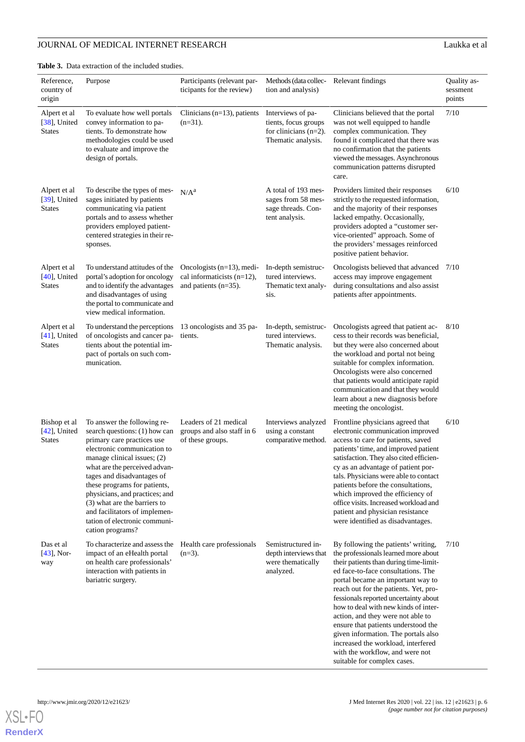<span id="page-6-0"></span>**Table 3.** Data extraction of the included studies.

| Reference,<br>country of<br>origin               | Purpose                                                                                                                                                                                                                                                                                                                                                                                                         | Participants (relevant par-<br>ticipants for the review)                                 | Methods (data collec- Relevant findings<br>tion and analysis)                               |                                                                                                                                                                                                                                                                                                                                                                                                                                                                                                                                                       | Quality as-<br>sessment<br>points |
|--------------------------------------------------|-----------------------------------------------------------------------------------------------------------------------------------------------------------------------------------------------------------------------------------------------------------------------------------------------------------------------------------------------------------------------------------------------------------------|------------------------------------------------------------------------------------------|---------------------------------------------------------------------------------------------|-------------------------------------------------------------------------------------------------------------------------------------------------------------------------------------------------------------------------------------------------------------------------------------------------------------------------------------------------------------------------------------------------------------------------------------------------------------------------------------------------------------------------------------------------------|-----------------------------------|
| Alpert et al<br>[38], United<br><b>States</b>    | To evaluate how well portals<br>convey information to pa-<br>tients. To demonstrate how<br>methodologies could be used<br>to evaluate and improve the<br>design of portals.                                                                                                                                                                                                                                     | Clinicians $(n=13)$ , patients<br>$(n=31)$ .                                             | Interviews of pa-<br>tients, focus groups<br>for clinicians $(n=2)$ .<br>Thematic analysis. | Clinicians believed that the portal<br>was not well equipped to handle<br>complex communication. They<br>found it complicated that there was<br>no confirmation that the patients<br>viewed the messages. Asynchronous<br>communication patterns disrupted<br>care.                                                                                                                                                                                                                                                                                   | 7/10                              |
| Alpert et al<br>$[39]$ , United<br><b>States</b> | To describe the types of mes-<br>sages initiated by patients<br>communicating via patient<br>portals and to assess whether<br>providers employed patient-<br>centered strategies in their re-<br>sponses.                                                                                                                                                                                                       | N/A <sup>a</sup>                                                                         | A total of 193 mes-<br>sages from 58 mes-<br>sage threads. Con-<br>tent analysis.           | Providers limited their responses<br>strictly to the requested information,<br>and the majority of their responses<br>lacked empathy. Occasionally,<br>providers adopted a "customer ser-<br>vice-oriented" approach. Some of<br>the providers' messages reinforced<br>positive patient behavior.                                                                                                                                                                                                                                                     | 6/10                              |
| Alpert et al<br>$[40]$ , United<br><b>States</b> | To understand attitudes of the<br>portal's adoption for oncology<br>and to identify the advantages<br>and disadvantages of using<br>the portal to communicate and<br>view medical information.                                                                                                                                                                                                                  | Oncologists $(n=13)$ , medi-<br>cal informaticists $(n=12)$ ,<br>and patients $(n=35)$ . | In-depth semistruc-<br>tured interviews.<br>Thematic text analy-<br>sis.                    | Oncologists believed that advanced 7/10<br>access may improve engagement<br>during consultations and also assist<br>patients after appointments.                                                                                                                                                                                                                                                                                                                                                                                                      |                                   |
| Alpert et al<br>$[41]$ , United<br><b>States</b> | To understand the perceptions<br>of oncologists and cancer pa-<br>tients about the potential im-<br>pact of portals on such com-<br>munication.                                                                                                                                                                                                                                                                 | 13 oncologists and 35 pa-<br>tients.                                                     | In-depth, semistruc-<br>tured interviews.<br>Thematic analysis.                             | Oncologists agreed that patient ac-<br>cess to their records was beneficial,<br>but they were also concerned about<br>the workload and portal not being<br>suitable for complex information.<br>Oncologists were also concerned<br>that patients would anticipate rapid<br>communication and that they would<br>learn about a new diagnosis before<br>meeting the oncologist.                                                                                                                                                                         | 8/10                              |
| Bishop et al<br>$[42]$ , United<br><b>States</b> | To answer the following re-<br>search questions: (1) how can<br>primary care practices use<br>electronic communication to<br>manage clinical issues; (2)<br>what are the perceived advan-<br>tages and disadvantages of<br>these programs for patients,<br>physicians, and practices; and<br>(3) what are the barriers to<br>and facilitators of implemen-<br>tation of electronic communi-<br>cation programs? | Leaders of 21 medical<br>groups and also staff in 6<br>of these groups.                  | Interviews analyzed<br>using a constant<br>comparative method.                              | Frontline physicians agreed that<br>electronic communication improved<br>access to care for patients, saved<br>patients' time, and improved patient<br>satisfaction. They also cited efficien-<br>cy as an advantage of patient por-<br>tals. Physicians were able to contact<br>patients before the consultations,<br>which improved the efficiency of<br>office visits. Increased workload and<br>patient and physician resistance<br>were identified as disadvantages.                                                                             | 6/10                              |
| Das et al<br>$[43]$ , Nor-<br>way                | To characterize and assess the<br>impact of an eHealth portal<br>on health care professionals'<br>interaction with patients in<br>bariatric surgery.                                                                                                                                                                                                                                                            | Health care professionals<br>$(n=3)$ .                                                   | Semistructured in-<br>depth interviews that<br>were thematically<br>analyzed.               | By following the patients' writing,<br>the professionals learned more about<br>their patients than during time-limit-<br>ed face-to-face consultations. The<br>portal became an important way to<br>reach out for the patients. Yet, pro-<br>fessionals reported uncertainty about<br>how to deal with new kinds of inter-<br>action, and they were not able to<br>ensure that patients understood the<br>given information. The portals also<br>increased the workload, interfered<br>with the workflow, and were not<br>suitable for complex cases. | 7/10                              |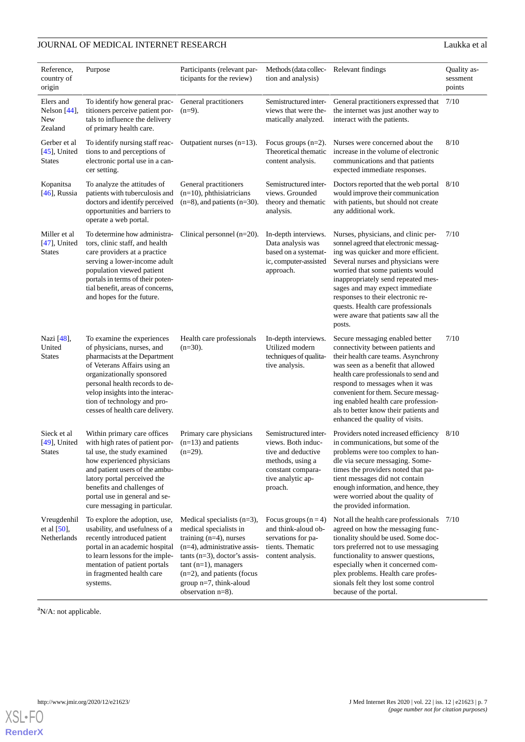| Reference,<br>country of<br>origin               | Purpose                                                                                                                                                                                                                                                                                         | Participants (relevant par-<br>ticipants for the review)                                                                                                                                                                                                                    | Methods (data collec- Relevant findings<br>tion and analysis)                                                                              |                                                                                                                                                                                                                                                                                                                                                                                                   | Quality as-<br>sessment<br>points |
|--------------------------------------------------|-------------------------------------------------------------------------------------------------------------------------------------------------------------------------------------------------------------------------------------------------------------------------------------------------|-----------------------------------------------------------------------------------------------------------------------------------------------------------------------------------------------------------------------------------------------------------------------------|--------------------------------------------------------------------------------------------------------------------------------------------|---------------------------------------------------------------------------------------------------------------------------------------------------------------------------------------------------------------------------------------------------------------------------------------------------------------------------------------------------------------------------------------------------|-----------------------------------|
| Elers and<br>Nelson $[44]$ ,<br>New<br>Zealand   | To identify how general prac-<br>titioners perceive patient por-<br>tals to influence the delivery<br>of primary health care.                                                                                                                                                                   | General practitioners<br>$(n=9)$ .                                                                                                                                                                                                                                          | Semistructured inter-<br>views that were the-<br>matically analyzed.                                                                       | General practitioners expressed that<br>the internet was just another way to<br>interact with the patients.                                                                                                                                                                                                                                                                                       | 7/10                              |
| Gerber et al<br>$[45]$ , United<br><b>States</b> | To identify nursing staff reac-<br>tions to and perceptions of<br>electronic portal use in a can-<br>cer setting.                                                                                                                                                                               | Outpatient nurses $(n=13)$ .                                                                                                                                                                                                                                                | Focus groups $(n=2)$ .<br>Theoretical thematic<br>content analysis.                                                                        | Nurses were concerned about the<br>increase in the volume of electronic<br>communications and that patients<br>expected immediate responses.                                                                                                                                                                                                                                                      | 8/10                              |
| Kopanitsa<br>$[46]$ , Russia                     | To analyze the attitudes of<br>patients with tuberculosis and<br>doctors and identify perceived<br>opportunities and barriers to<br>operate a web portal.                                                                                                                                       | General practitioners<br>$(n=10)$ , phthisiatricians<br>$(n=8)$ , and patients $(n=30)$ .                                                                                                                                                                                   | Semistructured inter-<br>views. Grounded<br>theory and thematic<br>analysis.                                                               | Doctors reported that the web portal<br>would improve their communication<br>with patients, but should not create<br>any additional work.                                                                                                                                                                                                                                                         | 8/10                              |
| Miller et al<br>$[47]$ , United<br><b>States</b> | To determine how administra-<br>tors, clinic staff, and health<br>care providers at a practice<br>serving a lower-income adult<br>population viewed patient<br>portals in terms of their poten-<br>tial benefit, areas of concerns,<br>and hopes for the future.                                | Clinical personnel $(n=20)$ .                                                                                                                                                                                                                                               | In-depth interviews.<br>Data analysis was<br>based on a systemat-<br>ic, computer-assisted<br>approach.                                    | Nurses, physicians, and clinic per-<br>sonnel agreed that electronic messag-<br>ing was quicker and more efficient.<br>Several nurses and physicians were<br>worried that some patients would<br>inappropriately send repeated mes-<br>sages and may expect immediate<br>responses to their electronic re-<br>quests. Health care professionals<br>were aware that patients saw all the<br>posts. | 7/10                              |
| Nazi [48],<br>United<br><b>States</b>            | To examine the experiences<br>of physicians, nurses, and<br>pharmacists at the Department<br>of Veterans Affairs using an<br>organizationally sponsored<br>personal health records to de-<br>velop insights into the interac-<br>tion of technology and pro-<br>cesses of health care delivery. | Health care professionals<br>$(n=30)$ .                                                                                                                                                                                                                                     | In-depth interviews.<br>Utilized modern<br>techniques of qualita-<br>tive analysis.                                                        | Secure messaging enabled better<br>connectivity between patients and<br>their health care teams. Asynchrony<br>was seen as a benefit that allowed<br>health care professionals to send and<br>respond to messages when it was<br>convenient for them. Secure messag-<br>ing enabled health care profession-<br>als to better know their patients and<br>enhanced the quality of visits.           | 7/10                              |
| Sieck et al<br>$[49]$ , United<br><b>States</b>  | Within primary care offices<br>with high rates of patient por-<br>tal use, the study examined<br>how experienced physicians<br>and patient users of the ambu-<br>latory portal perceived the<br>benefits and challenges of<br>portal use in general and se-<br>cure messaging in particular.    | Primary care physicians<br>$(n=13)$ and patients<br>$(n=29)$ .                                                                                                                                                                                                              | Semistructured inter-<br>views. Both induc-<br>tive and deductive<br>methods, using a<br>constant compara-<br>tive analytic ap-<br>proach. | Providers noted increased efficiency<br>in communications, but some of the<br>problems were too complex to han-<br>dle via secure messaging. Some-<br>times the providers noted that pa-<br>tient messages did not contain<br>enough information, and hence, they<br>were worried about the quality of<br>the provided information.                                                               | 8/10                              |
| Vreugdenhil<br>et al $[50]$ ,<br>Netherlands     | To explore the adoption, use,<br>usability, and usefulness of a<br>recently introduced patient<br>portal in an academic hospital<br>to learn lessons for the imple-<br>mentation of patient portals<br>in fragmented health care<br>systems.                                                    | Medical specialists $(n=3)$ ,<br>medical specialists in<br>training $(n=4)$ , nurses<br>$(n=4)$ , administrative assis-<br>$tants (n=3)$ , doctor's assis-<br>$tant (n=1)$ , managers<br>$(n=2)$ , and patients (focus<br>group $n=7$ , think-aloud<br>observation $n=8$ ). | Focus groups $(n=4)$<br>and think-aloud ob-<br>servations for pa-<br>tients. Thematic<br>content analysis.                                 | Not all the health care professionals<br>agreed on how the messaging func-<br>tionality should be used. Some doc-<br>tors preferred not to use messaging<br>functionality to answer questions,<br>especially when it concerned com-<br>plex problems. Health care profes-<br>sionals felt they lost some control<br>because of the portal.                                                        | 7/10                              |

<sup>a</sup>N/A: not applicable.

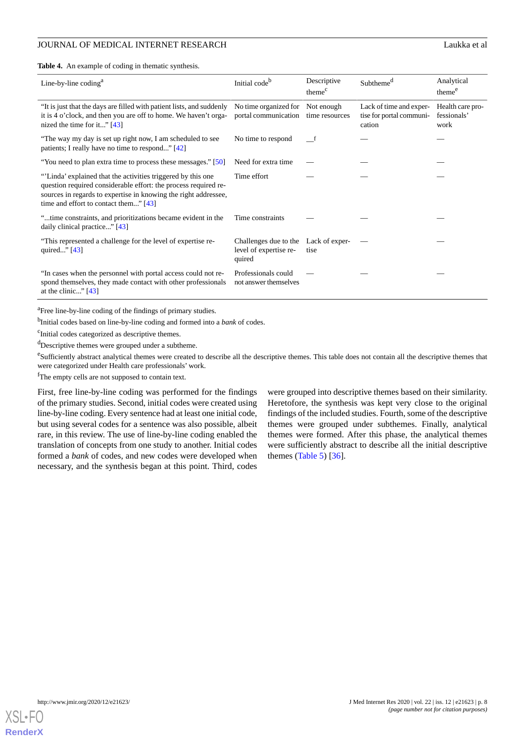<span id="page-8-0"></span>**Table 4.** An example of coding in thematic synthesis.

| Line-by-line coding <sup>a</sup>                                                                                                                                                                                                           | Initial code <sup>b</sup>                                                | Descriptive<br>theme <sup>c</sup> | Subtheme <sup>a</sup>                                         | Analytical<br>theme <sup>e</sup>        |
|--------------------------------------------------------------------------------------------------------------------------------------------------------------------------------------------------------------------------------------------|--------------------------------------------------------------------------|-----------------------------------|---------------------------------------------------------------|-----------------------------------------|
| "It is just that the days are filled with patient lists, and suddenly<br>it is 4 o'clock, and then you are off to home. We haven't orga-<br>nized the time for it" $[43]$                                                                  | No time organized for<br>portal communication                            | Not enough<br>time resources      | Lack of time and exper-<br>tise for portal communi-<br>cation | Health care pro-<br>fessionals'<br>work |
| "The way my day is set up right now, I am scheduled to see<br>patients; I really have no time to respond" $[42]$                                                                                                                           | No time to respond                                                       | f t                               |                                                               |                                         |
| "You need to plan extra time to process these messages." [50]                                                                                                                                                                              | Need for extra time                                                      |                                   |                                                               |                                         |
| "Linda' explained that the activities triggered by this one<br>question required considerable effort: the process required re-<br>sources in regards to expertise in knowing the right addressee,<br>time and effort to contact them" [43] | Time effort                                                              |                                   |                                                               |                                         |
| "time constraints, and prioritizations became evident in the<br>daily clinical practice" [43]                                                                                                                                              | Time constraints                                                         |                                   |                                                               |                                         |
| "This represented a challenge for the level of expertise re-<br>quired" [43]                                                                                                                                                               | Challenges due to the Lack of exper-<br>level of expertise re-<br>quired | tise                              |                                                               |                                         |
| "In cases when the personnel with portal access could not re-<br>spond themselves, they made contact with other professionals<br>at the clinic" $[43]$                                                                                     | Professionals could<br>not answer themselves                             |                                   |                                                               |                                         |

<sup>a</sup>Free line-by-line coding of the findings of primary studies.

b Initial codes based on line-by-line coding and formed into a *bank* of codes.

<sup>c</sup>Initial codes categorized as descriptive themes.

<sup>d</sup>Descriptive themes were grouped under a subtheme.

<sup>e</sup>Sufficiently abstract analytical themes were created to describe all the descriptive themes. This table does not contain all the descriptive themes that were categorized under Health care professionals' work.

fThe empty cells are not supposed to contain text.

First, free line-by-line coding was performed for the findings of the primary studies. Second, initial codes were created using line-by-line coding. Every sentence had at least one initial code, but using several codes for a sentence was also possible, albeit rare, in this review. The use of line-by-line coding enabled the translation of concepts from one study to another. Initial codes formed a *bank* of codes, and new codes were developed when necessary, and the synthesis began at this point. Third, codes

were grouped into descriptive themes based on their similarity. Heretofore, the synthesis was kept very close to the original findings of the included studies. Fourth, some of the descriptive themes were grouped under subthemes. Finally, analytical themes were formed. After this phase, the analytical themes were sufficiently abstract to describe all the initial descriptive themes ([Table 5](#page-9-0)) [\[36](#page-16-17)].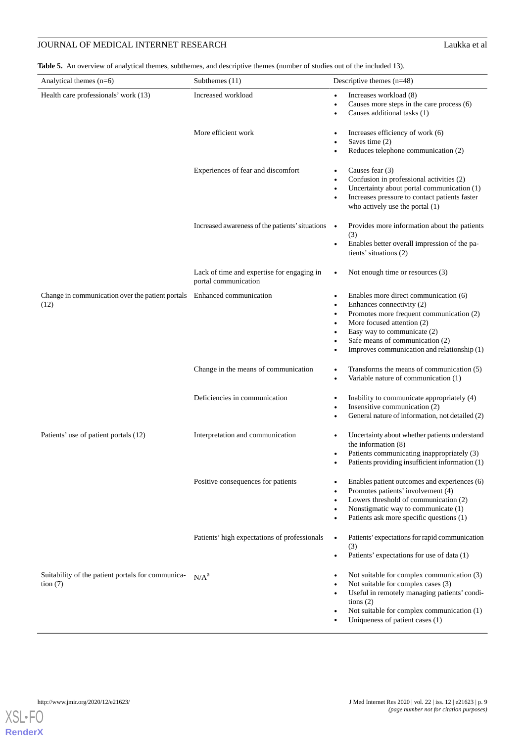<span id="page-9-0"></span>**Table 5.** An overview of analytical themes, subthemes, and descriptive themes (number of studies out of the included 13).

| Analytical themes $(n=6)$                                                       | Subthemes (11)                                                     | Descriptive themes $(n=48)$                                                                                                                                                                                                                                                                                                         |
|---------------------------------------------------------------------------------|--------------------------------------------------------------------|-------------------------------------------------------------------------------------------------------------------------------------------------------------------------------------------------------------------------------------------------------------------------------------------------------------------------------------|
| Health care professionals' work (13)                                            | Increased workload                                                 | Increases workload (8)                                                                                                                                                                                                                                                                                                              |
|                                                                                 |                                                                    | $\bullet$<br>Causes more steps in the care process (6)<br>$\bullet$<br>Causes additional tasks (1)<br>$\bullet$                                                                                                                                                                                                                     |
|                                                                                 | More efficient work                                                | Increases efficiency of work (6)<br>Saves time (2)                                                                                                                                                                                                                                                                                  |
|                                                                                 |                                                                    | Reduces telephone communication (2)                                                                                                                                                                                                                                                                                                 |
|                                                                                 | Experiences of fear and discomfort                                 | Causes fear $(3)$<br>$\bullet$<br>Confusion in professional activities (2)<br>Uncertainty about portal communication (1)<br>$\bullet$<br>Increases pressure to contact patients faster<br>$\bullet$<br>who actively use the portal $(1)$                                                                                            |
|                                                                                 | Increased awareness of the patients' situations •                  | Provides more information about the patients<br>(3)<br>Enables better overall impression of the pa-<br>$\bullet$<br>tients' situations (2)                                                                                                                                                                                          |
|                                                                                 | Lack of time and expertise for engaging in<br>portal communication | Not enough time or resources (3)<br>$\bullet$                                                                                                                                                                                                                                                                                       |
| Change in communication over the patient portals Enhanced communication<br>(12) |                                                                    | Enables more direct communication (6)<br>$\bullet$<br>Enhances connectivity (2)<br>$\bullet$<br>Promotes more frequent communication (2)<br>$\bullet$<br>More focused attention (2)<br>Easy way to communicate (2)<br>$\bullet$<br>Safe means of communication (2)<br>$\bullet$<br>Improves communication and relationship (1)<br>٠ |
|                                                                                 | Change in the means of communication                               | Transforms the means of communication (5)<br>$\bullet$<br>Variable nature of communication (1)<br>$\bullet$                                                                                                                                                                                                                         |
|                                                                                 | Deficiencies in communication                                      | Inability to communicate appropriately (4)<br>$\bullet$<br>Insensitive communication (2)<br>General nature of information, not detailed (2)                                                                                                                                                                                         |
| Patients' use of patient portals (12)                                           | Interpretation and communication                                   | Uncertainty about whether patients understand<br>$\bullet$<br>the information $(8)$<br>Patients communicating inappropriately (3)<br>$\bullet$<br>Patients providing insufficient information (1)                                                                                                                                   |
|                                                                                 | Positive consequences for patients                                 | Enables patient outcomes and experiences (6)<br>٠<br>Promotes patients' involvement (4)<br>Lowers threshold of communication (2)<br>$\bullet$<br>Nonstigmatic way to communicate (1)<br>٠<br>Patients ask more specific questions (1)<br>$\bullet$                                                                                  |
|                                                                                 | Patients' high expectations of professionals                       | Patients' expectations for rapid communication<br>$\bullet$<br>(3)<br>Patients' expectations for use of data (1)<br>٠                                                                                                                                                                                                               |
| Suitability of the patient portals for communica-<br>tion $(7)$                 | N/A <sup>a</sup>                                                   | Not suitable for complex communication (3)<br>٠<br>Not suitable for complex cases (3)<br>$\bullet$<br>Useful in remotely managing patients' condi-<br>٠<br>tions $(2)$<br>Not suitable for complex communication (1)<br>٠<br>Uniqueness of patient cases (1)                                                                        |

**[RenderX](http://www.renderx.com/)**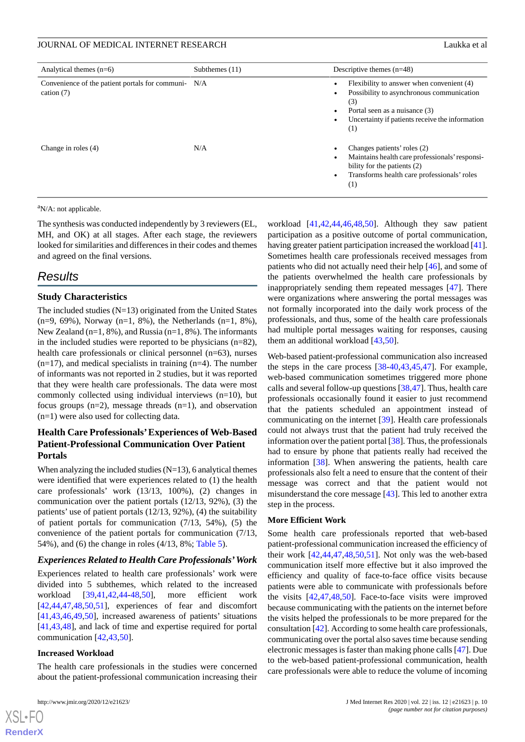| Analytical themes $(n=6)$                                           | Subthemes (11) | Descriptive themes $(n=48)$                                                                                                                                                                   |
|---------------------------------------------------------------------|----------------|-----------------------------------------------------------------------------------------------------------------------------------------------------------------------------------------------|
| Convenience of the patient portals for communi- N/A<br>cation $(7)$ |                | Flexibility to answer when convenient (4)<br>Possibility to asynchronous communication<br>٠<br>(3)<br>Portal seen as a nuisance (3)<br>Uncertainty if patients receive the information<br>(1) |
| Change in roles (4)                                                 | N/A            | Changes patients' roles (2)<br>Maintains health care professionals' responsi-<br>bility for the patients (2)<br>Transforms health care professionals' roles<br>$\bullet$<br>(1)               |

 $\mathrm{a}^{\mathrm{a}}$ N/A: not applicable.

The synthesis was conducted independently by 3 reviewers (EL, MH, and OK) at all stages. After each stage, the reviewers looked for similarities and differences in their codes and themes and agreed on the final versions.

## *Results*

## **Study Characteristics**

The included studies (N=13) originated from the United States (n=9, 69%), Norway (n=1, 8%), the Netherlands (n=1, 8%), New Zealand (n=1, 8%), and Russia (n=1, 8%). The informants in the included studies were reported to be physicians (n=82), health care professionals or clinical personnel (n=63), nurses  $(n=17)$ , and medical specialists in training  $(n=4)$ . The number of informants was not reported in 2 studies, but it was reported that they were health care professionals. The data were most commonly collected using individual interviews (n=10), but focus groups (n=2), message threads (n=1), and observation (n=1) were also used for collecting data.

## **Health Care Professionals'Experiences of Web-Based Patient-Professional Communication Over Patient Portals**

When analyzing the included studies  $(N=13)$ , 6 analytical themes were identified that were experiences related to (1) the health care professionals' work (13/13, 100%), (2) changes in communication over the patient portals (12/13, 92%), (3) the patients' use of patient portals (12/13, 92%), (4) the suitability of patient portals for communication (7/13, 54%), (5) the convenience of the patient portals for communication (7/13, 54%), and (6) the change in roles (4/13, 8%; [Table 5](#page-9-0)).

#### *Experiences Related to Health Care Professionals'Work*

Experiences related to health care professionals' work were divided into 5 subthemes, which related to the increased workload [\[39](#page-16-20),[41](#page-16-22)[,42](#page-17-0),[44-](#page-17-2)[48](#page-17-6),[50\]](#page-17-8), more efficient work [[42](#page-17-0)[,44](#page-17-2),[47](#page-17-5)[,48](#page-17-6),[50](#page-17-8)[,51](#page-17-9)], experiences of fear and discomfort [[41](#page-16-22)[,43](#page-17-1),[46](#page-17-4)[,49](#page-17-7),[50\]](#page-17-8), increased awareness of patients' situations [[41](#page-16-22)[,43](#page-17-1),[48\]](#page-17-6), and lack of time and expertise required for portal communication [[42,](#page-17-0)[43](#page-17-1),[50\]](#page-17-8).

#### **Increased Workload**

The health care professionals in the studies were concerned about the patient-professional communication increasing their

[XSL](http://www.w3.org/Style/XSL)•FO **[RenderX](http://www.renderx.com/)**

workload [\[41](#page-16-22),[42,](#page-17-0)[44](#page-17-2),[46,](#page-17-4)[48](#page-17-6),[50\]](#page-17-8). Although they saw patient participation as a positive outcome of portal communication, having greater patient participation increased the workload [\[41](#page-16-22)]. Sometimes health care professionals received messages from patients who did not actually need their help [[46\]](#page-17-4), and some of the patients overwhelmed the health care professionals by inappropriately sending them repeated messages [[47\]](#page-17-5). There were organizations where answering the portal messages was not formally incorporated into the daily work process of the professionals, and thus, some of the health care professionals had multiple portal messages waiting for responses, causing them an additional workload [\[43](#page-17-1),[50\]](#page-17-8).

Web-based patient-professional communication also increased the steps in the care process [\[38](#page-16-19)-[40](#page-16-21)[,43](#page-17-1),[45](#page-17-3)[,47](#page-17-5)]. For example, web-based communication sometimes triggered more phone calls and several follow-up questions [[38](#page-16-19)[,47](#page-17-5)]. Thus, health care professionals occasionally found it easier to just recommend that the patients scheduled an appointment instead of communicating on the internet [[39\]](#page-16-20). Health care professionals could not always trust that the patient had truly received the information over the patient portal [[38\]](#page-16-19). Thus, the professionals had to ensure by phone that patients really had received the information [[38\]](#page-16-19). When answering the patients, health care professionals also felt a need to ensure that the content of their message was correct and that the patient would not misunderstand the core message [[43\]](#page-17-1). This led to another extra step in the process.

#### **More Efficient Work**

Some health care professionals reported that web-based patient-professional communication increased the efficiency of their work  $[42, 44, 47, 48, 50, 51]$  $[42, 44, 47, 48, 50, 51]$  $[42, 44, 47, 48, 50, 51]$  $[42, 44, 47, 48, 50, 51]$  $[42, 44, 47, 48, 50, 51]$  $[42, 44, 47, 48, 50, 51]$  $[42, 44, 47, 48, 50, 51]$ . Not only was the web-based communication itself more effective but it also improved the efficiency and quality of face-to-face office visits because patients were able to communicate with professionals before the visits [[42,](#page-17-0)[47](#page-17-5),[48,](#page-17-6)[50](#page-17-8)]. Face-to-face visits were improved because communicating with the patients on the internet before the visits helped the professionals to be more prepared for the consultation [[42\]](#page-17-0). According to some health care professionals, communicating over the portal also saves time because sending electronic messages is faster than making phone calls [\[47](#page-17-5)]. Due to the web-based patient-professional communication, health care professionals were able to reduce the volume of incoming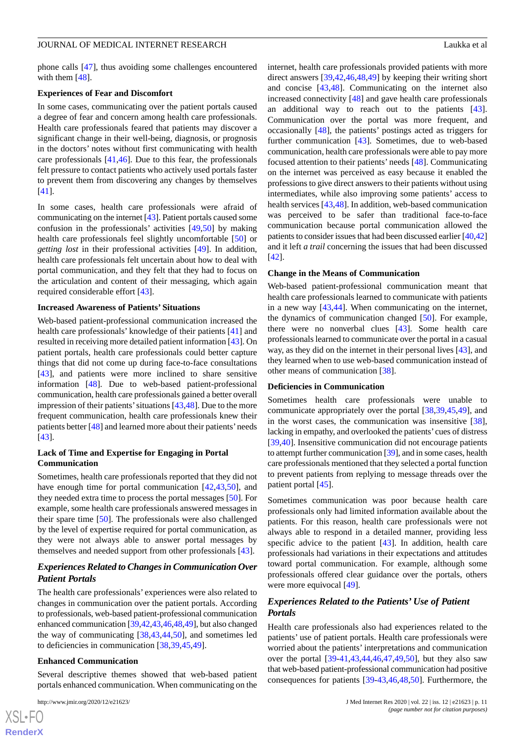phone calls [\[47](#page-17-5)], thus avoiding some challenges encountered with them [[48\]](#page-17-6).

#### **Experiences of Fear and Discomfort**

In some cases, communicating over the patient portals caused a degree of fear and concern among health care professionals. Health care professionals feared that patients may discover a significant change in their well-being, diagnosis, or prognosis in the doctors' notes without first communicating with health care professionals [[41](#page-16-22)[,46](#page-17-4)]. Due to this fear, the professionals felt pressure to contact patients who actively used portals faster to prevent them from discovering any changes by themselves [[41\]](#page-16-22).

In some cases, health care professionals were afraid of communicating on the internet [[43\]](#page-17-1). Patient portals caused some confusion in the professionals' activities [\[49](#page-17-7),[50\]](#page-17-8) by making health care professionals feel slightly uncomfortable [\[50](#page-17-8)] or *getting lost* in their professional activities [[49\]](#page-17-7). In addition, health care professionals felt uncertain about how to deal with portal communication, and they felt that they had to focus on the articulation and content of their messaging, which again required considerable effort [\[43](#page-17-1)].

#### **Increased Awareness of Patients'Situations**

Web-based patient-professional communication increased the health care professionals' knowledge of their patients [\[41](#page-16-22)] and resulted in receiving more detailed patient information [[43\]](#page-17-1). On patient portals, health care professionals could better capture things that did not come up during face-to-face consultations [[43\]](#page-17-1), and patients were more inclined to share sensitive information [\[48](#page-17-6)]. Due to web-based patient-professional communication, health care professionals gained a better overall impression of their patients' situations  $[43,48]$  $[43,48]$  $[43,48]$ . Due to the more frequent communication, health care professionals knew their patients better [[48\]](#page-17-6) and learned more about their patients'needs [[43\]](#page-17-1).

### **Lack of Time and Expertise for Engaging in Portal Communication**

Sometimes, health care professionals reported that they did not have enough time for portal communication [\[42](#page-17-0),[43](#page-17-1)[,50](#page-17-8)], and they needed extra time to process the portal messages [[50\]](#page-17-8). For example, some health care professionals answered messages in their spare time [[50\]](#page-17-8). The professionals were also challenged by the level of expertise required for portal communication, as they were not always able to answer portal messages by themselves and needed support from other professionals [\[43](#page-17-1)].

## *Experiences Related to Changes in Communication Over Patient Portals*

The health care professionals' experiences were also related to changes in communication over the patient portals. According to professionals, web-based patient-professional communication enhanced communication [\[39](#page-16-20)[,42](#page-17-0),[43](#page-17-1),[46,](#page-17-4)[48](#page-17-6)[,49](#page-17-7)], but also changed the way of communicating [[38,](#page-16-19)[43](#page-17-1),[44,](#page-17-2)[50](#page-17-8)], and sometimes led to deficiencies in communication [\[38](#page-16-19),[39,](#page-16-20)[45](#page-17-3),[49\]](#page-17-7).

#### **Enhanced Communication**

Several descriptive themes showed that web-based patient portals enhanced communication. When communicating on the

internet, health care professionals provided patients with more direct answers [\[39](#page-16-20),[42](#page-17-0)[,46](#page-17-4),[48](#page-17-6)[,49](#page-17-7)] by keeping their writing short and concise [[43,](#page-17-1)[48](#page-17-6)]. Communicating on the internet also increased connectivity [\[48](#page-17-6)] and gave health care professionals an additional way to reach out to the patients [[43\]](#page-17-1). Communication over the portal was more frequent, and occasionally [[48\]](#page-17-6), the patients' postings acted as triggers for further communication [[43\]](#page-17-1). Sometimes, due to web-based communication, health care professionals were able to pay more focused attention to their patients' needs [\[48](#page-17-6)]. Communicating on the internet was perceived as easy because it enabled the professions to give direct answers to their patients without using intermediates, while also improving some patients' access to health services [[43,](#page-17-1)[48](#page-17-6)]. In addition, web-based communication was perceived to be safer than traditional face-to-face communication because portal communication allowed the patients to consider issues that had been discussed earlier [[40](#page-16-21),[42\]](#page-17-0) and it left *a trail* concerning the issues that had been discussed [[42\]](#page-17-0).

#### **Change in the Means of Communication**

Web-based patient-professional communication meant that health care professionals learned to communicate with patients in a new way [[43](#page-17-1)[,44](#page-17-2)]. When communicating on the internet, the dynamics of communication changed [[50\]](#page-17-8). For example, there were no nonverbal clues [[43\]](#page-17-1). Some health care professionals learned to communicate over the portal in a casual way, as they did on the internet in their personal lives [\[43](#page-17-1)], and they learned when to use web-based communication instead of other means of communication [[38\]](#page-16-19).

#### **Deficiencies in Communication**

Sometimes health care professionals were unable to communicate appropriately over the portal [\[38](#page-16-19)[,39](#page-16-20)[,45](#page-17-3),[49\]](#page-17-7), and in the worst cases, the communication was insensitive [[38\]](#page-16-19), lacking in empathy, and overlooked the patients' cues of distress [[39,](#page-16-20)[40\]](#page-16-21). Insensitive communication did not encourage patients to attempt further communication [[39](#page-16-20)], and in some cases, health care professionals mentioned that they selected a portal function to prevent patients from replying to message threads over the patient portal [\[45](#page-17-3)].

Sometimes communication was poor because health care professionals only had limited information available about the patients. For this reason, health care professionals were not always able to respond in a detailed manner, providing less specific advice to the patient [[43\]](#page-17-1). In addition, health care professionals had variations in their expectations and attitudes toward portal communication. For example, although some professionals offered clear guidance over the portals, others were more equivocal [[49\]](#page-17-7).

## *Experiences Related to the Patients' Use of Patient Portals*

Health care professionals also had experiences related to the patients' use of patient portals. Health care professionals were worried about the patients' interpretations and communication over the portal [[39-](#page-16-20)[41](#page-16-22),[43,](#page-17-1)[44](#page-17-2),[46,](#page-17-4)[47](#page-17-5),[49,](#page-17-7)[50](#page-17-8)], but they also saw that web-based patient-professional communication had positive consequences for patients [[39-](#page-16-20)[43](#page-17-1)[,46](#page-17-4)[,48](#page-17-6),[50\]](#page-17-8). Furthermore, the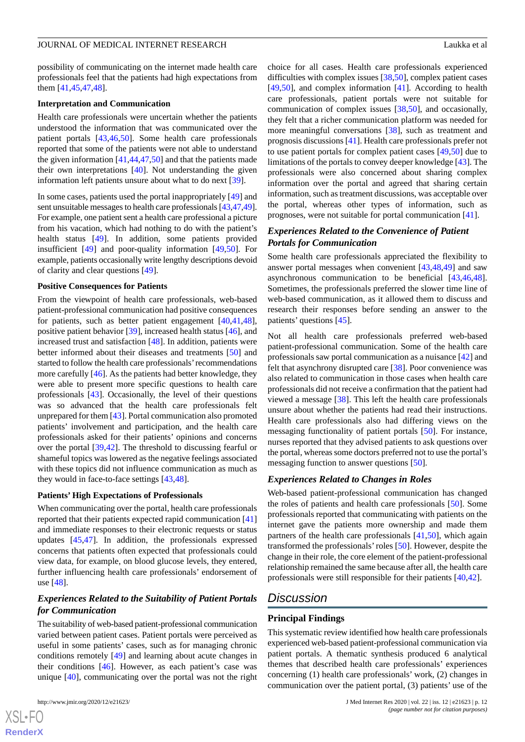possibility of communicating on the internet made health care professionals feel that the patients had high expectations from them [\[41](#page-16-22),[45](#page-17-3)[,47](#page-17-5),[48\]](#page-17-6).

#### **Interpretation and Communication**

Health care professionals were uncertain whether the patients understood the information that was communicated over the patient portals [[43,](#page-17-1)[46](#page-17-4),[50\]](#page-17-8). Some health care professionals reported that some of the patients were not able to understand the given information [\[41](#page-16-22),[44](#page-17-2)[,47](#page-17-5),[50\]](#page-17-8) and that the patients made their own interpretations [\[40](#page-16-21)]. Not understanding the given information left patients unsure about what to do next [\[39](#page-16-20)].

In some cases, patients used the portal inappropriately [[49\]](#page-17-7) and sent unsuitable messages to health care professionals [[43](#page-17-1),[47,](#page-17-5)[49\]](#page-17-7). For example, one patient sent a health care professional a picture from his vacation, which had nothing to do with the patient's health status [[49\]](#page-17-7). In addition, some patients provided insufficient [\[49](#page-17-7)] and poor-quality information [\[49](#page-17-7),[50\]](#page-17-8). For example, patients occasionally write lengthy descriptions devoid of clarity and clear questions [[49\]](#page-17-7).

#### **Positive Consequences for Patients**

From the viewpoint of health care professionals, web-based patient-professional communication had positive consequences for patients, such as better patient engagement [[40](#page-16-21)[,41](#page-16-22),[48\]](#page-17-6), positive patient behavior [[39\]](#page-16-20), increased health status [\[46](#page-17-4)], and increased trust and satisfaction [[48\]](#page-17-6). In addition, patients were better informed about their diseases and treatments [\[50](#page-17-8)] and started to follow the health care professionals'recommendations more carefully [\[46](#page-17-4)]. As the patients had better knowledge, they were able to present more specific questions to health care professionals [\[43](#page-17-1)]. Occasionally, the level of their questions was so advanced that the health care professionals felt unprepared for them [[43\]](#page-17-1). Portal communication also promoted patients' involvement and participation, and the health care professionals asked for their patients' opinions and concerns over the portal [[39](#page-16-20)[,42](#page-17-0)]. The threshold to discussing fearful or shameful topics was lowered as the negative feelings associated with these topics did not influence communication as much as they would in face-to-face settings [\[43](#page-17-1),[48\]](#page-17-6).

#### **Patients' High Expectations of Professionals**

When communicating over the portal, health care professionals reported that their patients expected rapid communication [\[41](#page-16-22)] and immediate responses to their electronic requests or status updates [[45](#page-17-3)[,47](#page-17-5)]. In addition, the professionals expressed concerns that patients often expected that professionals could view data, for example, on blood glucose levels, they entered, further influencing health care professionals' endorsement of use [[48\]](#page-17-6).

## *Experiences Related to the Suitability of Patient Portals for Communication*

The suitability of web-based patient-professional communication varied between patient cases. Patient portals were perceived as useful in some patients' cases, such as for managing chronic conditions remotely [\[49](#page-17-7)] and learning about acute changes in their conditions [[46\]](#page-17-4). However, as each patient's case was unique [\[40](#page-16-21)], communicating over the portal was not the right

choice for all cases. Health care professionals experienced difficulties with complex issues [[38,](#page-16-19)[50\]](#page-17-8), complex patient cases [[49,](#page-17-7)[50\]](#page-17-8), and complex information [\[41](#page-16-22)]. According to health care professionals, patient portals were not suitable for communication of complex issues [[38,](#page-16-19)[50](#page-17-8)], and occasionally, they felt that a richer communication platform was needed for more meaningful conversations [[38\]](#page-16-19), such as treatment and prognosis discussions [[41\]](#page-16-22). Health care professionals prefer not to use patient portals for complex patient cases [\[49](#page-17-7),[50\]](#page-17-8) due to limitations of the portals to convey deeper knowledge [\[43](#page-17-1)]. The professionals were also concerned about sharing complex information over the portal and agreed that sharing certain information, such as treatment discussions, was acceptable over the portal, whereas other types of information, such as prognoses, were not suitable for portal communication [\[41](#page-16-22)].

## *Experiences Related to the Convenience of Patient Portals for Communication*

Some health care professionals appreciated the flexibility to answer portal messages when convenient [[43](#page-17-1)[,48](#page-17-6),[49\]](#page-17-7) and saw asynchronous communication to be beneficial [[43](#page-17-1)[,46](#page-17-4),[48\]](#page-17-6). Sometimes, the professionals preferred the slower time line of web-based communication, as it allowed them to discuss and research their responses before sending an answer to the patients' questions [\[45](#page-17-3)].

Not all health care professionals preferred web-based patient-professional communication. Some of the health care professionals saw portal communication as a nuisance [[42\]](#page-17-0) and felt that asynchrony disrupted care [\[38](#page-16-19)]. Poor convenience was also related to communication in those cases when health care professionals did not receive a confirmation that the patient had viewed a message [\[38](#page-16-19)]. This left the health care professionals unsure about whether the patients had read their instructions. Health care professionals also had differing views on the messaging functionality of patient portals [[50\]](#page-17-8). For instance, nurses reported that they advised patients to ask questions over the portal, whereas some doctors preferred not to use the portal's messaging function to answer questions [[50\]](#page-17-8).

### *Experiences Related to Changes in Roles*

Web-based patient-professional communication has changed the roles of patients and health care professionals [\[50](#page-17-8)]. Some professionals reported that communicating with patients on the internet gave the patients more ownership and made them partners of the health care professionals [\[41](#page-16-22),[50\]](#page-17-8), which again transformed the professionals'roles [\[50](#page-17-8)]. However, despite the change in their role, the core element of the patient-professional relationship remained the same because after all, the health care professionals were still responsible for their patients [\[40](#page-16-21),[42\]](#page-17-0).

## *Discussion*

### **Principal Findings**

This systematic review identified how health care professionals experienced web-based patient-professional communication via patient portals. A thematic synthesis produced 6 analytical themes that described health care professionals' experiences concerning (1) health care professionals' work, (2) changes in communication over the patient portal, (3) patients' use of the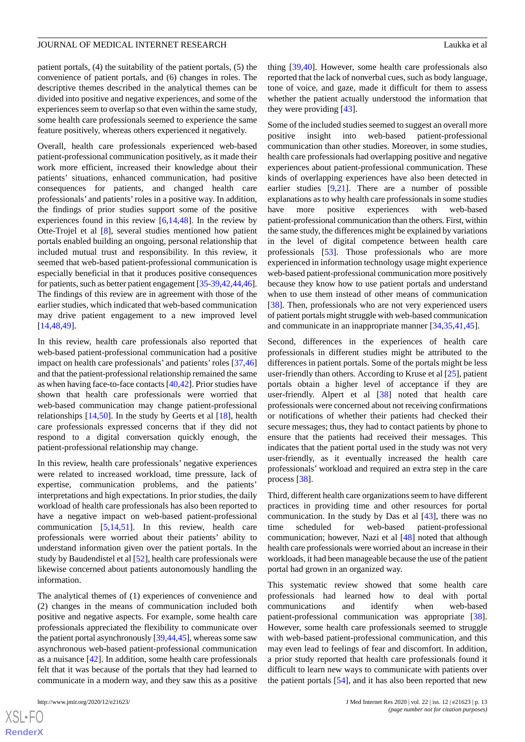patient portals, (4) the suitability of the patient portals, (5) the convenience of patient portals, and (6) changes in roles. The descriptive themes described in the analytical themes can be divided into positive and negative experiences, and some of the experiences seem to overlap so that even within the same study, some health care professionals seemed to experience the same feature positively, whereas others experienced it negatively.

Overall, health care professionals experienced web-based patient-professional communication positively, as it made their work more efficient, increased their knowledge about their patients' situations, enhanced communication, had positive consequences for patients, and changed health care professionals' and patients'roles in a positive way. In addition, the findings of prior studies support some of the positive experiences found in this review  $[6,14,48]$  $[6,14,48]$  $[6,14,48]$  $[6,14,48]$  $[6,14,48]$ . In the review by Otte-Trojel et al [[8\]](#page-15-7), several studies mentioned how patient portals enabled building an ongoing, personal relationship that included mutual trust and responsibility. In this review, it seemed that web-based patient-professional communication is especially beneficial in that it produces positive consequences for patients, such as better patient engagement [\[35](#page-16-16)[-39](#page-16-20),[42](#page-17-0),[44,](#page-17-2)[46\]](#page-17-4). The findings of this review are in agreement with those of the earlier studies, which indicated that web-based communication may drive patient engagement to a new improved level [[14](#page-15-13)[,48](#page-17-6),[49\]](#page-17-7).

In this review, health care professionals also reported that web-based patient-professional communication had a positive impact on health care professionals' and patients'roles [[37](#page-16-18)[,46](#page-17-4)] and that the patient-professional relationship remained the same as when having face-to-face contacts [[40](#page-16-21)[,42](#page-17-0)]. Prior studies have shown that health care professionals were worried that web-based communication may change patient-professional relationships [[14](#page-15-13)[,50](#page-17-8)]. In the study by Geerts et al [\[18](#page-15-17)], health care professionals expressed concerns that if they did not respond to a digital conversation quickly enough, the patient-professional relationship may change.

In this review, health care professionals' negative experiences were related to increased workload, time pressure, lack of expertise, communication problems, and the patients' interpretations and high expectations. In prior studies, the daily workload of health care professionals has also been reported to have a negative impact on web-based patient-professional communication [\[5](#page-15-4),[14](#page-15-13)[,51](#page-17-9)]. In this review, health care professionals were worried about their patients' ability to understand information given over the patient portals. In the study by Baudendistel et al [\[52](#page-17-10)], health care professionals were likewise concerned about patients autonomously handling the information.

The analytical themes of (1) experiences of convenience and (2) changes in the means of communication included both positive and negative aspects. For example, some health care professionals appreciated the flexibility to communicate over the patient portal asynchronously [\[39](#page-16-20),[44](#page-17-2),[45\]](#page-17-3), whereas some saw asynchronous web-based patient-professional communication as a nuisance [[42\]](#page-17-0). In addition, some health care professionals felt that it was because of the portals that they had learned to communicate in a modern way, and they saw this as a positive

 $XS$  • FC **[RenderX](http://www.renderx.com/)** thing [[39,](#page-16-20)[40\]](#page-16-21). However, some health care professionals also reported that the lack of nonverbal cues, such as body language, tone of voice, and gaze, made it difficult for them to assess whether the patient actually understood the information that they were providing [[43\]](#page-17-1).

Some of the included studies seemed to suggest an overall more positive insight into web-based patient-professional communication than other studies. Moreover, in some studies, health care professionals had overlapping positive and negative experiences about patient-professional communication. These kinds of overlapping experiences have also been detected in earlier studies [[9,](#page-15-8)[21](#page-16-2)]. There are a number of possible explanations as to why health care professionals in some studies have more positive experiences with web-based patient-professional communication than the others. First, within the same study, the differences might be explained by variations in the level of digital competence between health care professionals [\[53](#page-17-11)]. Those professionals who are more experienced in information technology usage might experience web-based patient-professional communication more positively because they know how to use patient portals and understand when to use them instead of other means of communication [[38\]](#page-16-19). Then, professionals who are not very experienced users of patient portals might struggle with web-based communication and communicate in an inappropriate manner [[34](#page-16-15)[,35](#page-16-16),[41](#page-16-22)[,45](#page-17-3)].

Second, differences in the experiences of health care professionals in different studies might be attributed to the differences in patient portals. Some of the portals might be less user-friendly than others. According to Kruse et al [[25\]](#page-16-6), patient portals obtain a higher level of acceptance if they are user-friendly. Alpert et al [[38\]](#page-16-19) noted that health care professionals were concerned about not receiving confirmations or notifications of whether their patients had checked their secure messages; thus, they had to contact patients by phone to ensure that the patients had received their messages. This indicates that the patient portal used in the study was not very user-friendly, as it eventually increased the health care professionals' workload and required an extra step in the care process [[38\]](#page-16-19).

Third, different health care organizations seem to have different practices in providing time and other resources for portal communication. In the study by Das et al [\[43](#page-17-1)], there was no time scheduled for web-based patient-professional communication; however, Nazi et al [\[48](#page-17-6)] noted that although health care professionals were worried about an increase in their workloads, it had been manageable because the use of the patient portal had grown in an organized way.

This systematic review showed that some health care professionals had learned how to deal with portal communications and identify when web-based patient-professional communication was appropriate [[38\]](#page-16-19). However, some health care professionals seemed to struggle with web-based patient-professional communication, and this may even lead to feelings of fear and discomfort. In addition, a prior study reported that health care professionals found it difficult to learn new ways to communicate with patients over the patient portals [[54\]](#page-17-12), and it has also been reported that new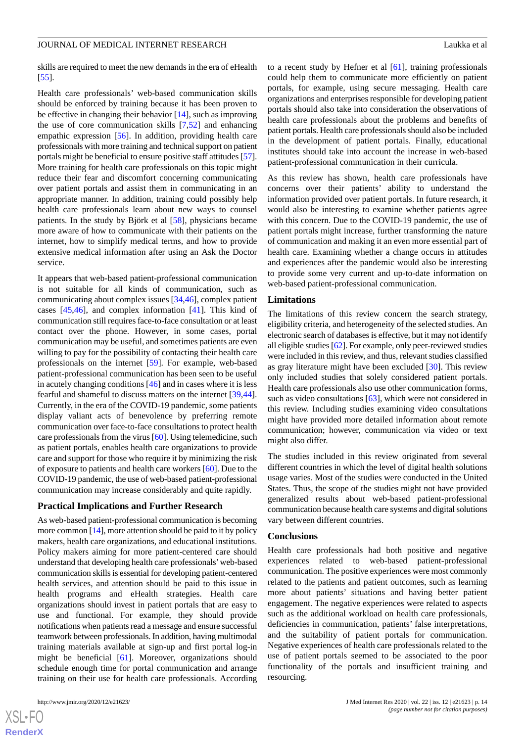skills are required to meet the new demands in the era of eHealth [[55\]](#page-17-13).

Health care professionals' web-based communication skills should be enforced by training because it has been proven to be effective in changing their behavior [[14\]](#page-15-13), such as improving the use of core communication skills [\[7,](#page-15-6)[52](#page-17-10)] and enhancing empathic expression [[56\]](#page-17-14). In addition, providing health care professionals with more training and technical support on patient portals might be beneficial to ensure positive staff attitudes [\[57\]](#page-17-15). More training for health care professionals on this topic might reduce their fear and discomfort concerning communicating over patient portals and assist them in communicating in an appropriate manner. In addition, training could possibly help health care professionals learn about new ways to counsel patients. In the study by Björk et al [\[58](#page-17-16)], physicians became more aware of how to communicate with their patients on the internet, how to simplify medical terms, and how to provide extensive medical information after using an Ask the Doctor service.

It appears that web-based patient-professional communication is not suitable for all kinds of communication, such as communicating about complex issues [\[34](#page-16-15),[46\]](#page-17-4), complex patient cases [[45,](#page-17-3)[46](#page-17-4)], and complex information [[41\]](#page-16-22). This kind of communication still requires face-to-face consultation or at least contact over the phone. However, in some cases, portal communication may be useful, and sometimes patients are even willing to pay for the possibility of contacting their health care professionals on the internet [[59\]](#page-17-17). For example, web-based patient-professional communication has been seen to be useful in acutely changing conditions [\[46](#page-17-4)] and in cases where it is less fearful and shameful to discuss matters on the internet [\[39](#page-16-20),[44\]](#page-17-2). Currently, in the era of the COVID-19 pandemic, some patients display valiant acts of benevolence by preferring remote communication over face-to-face consultations to protect health care professionals from the virus [\[60](#page-17-18)]. Using telemedicine, such as patient portals, enables health care organizations to provide care and support for those who require it by minimizing the risk of exposure to patients and health care workers [[60\]](#page-17-18). Due to the COVID-19 pandemic, the use of web-based patient-professional communication may increase considerably and quite rapidly.

#### **Practical Implications and Further Research**

As web-based patient-professional communication is becoming more common [\[14](#page-15-13)], more attention should be paid to it by policy makers, health care organizations, and educational institutions. Policy makers aiming for more patient-centered care should understand that developing health care professionals'web-based communication skills is essential for developing patient-centered health services, and attention should be paid to this issue in health programs and eHealth strategies. Health care organizations should invest in patient portals that are easy to use and functional. For example, they should provide notifications when patients read a message and ensure successful teamwork between professionals. In addition, having multimodal training materials available at sign-up and first portal log-in might be beneficial [\[61](#page-17-19)]. Moreover, organizations should schedule enough time for portal communication and arrange training on their use for health care professionals. According

 $XS$ -FO **[RenderX](http://www.renderx.com/)** to a recent study by Hefner et al [[61\]](#page-17-19), training professionals could help them to communicate more efficiently on patient portals, for example, using secure messaging. Health care organizations and enterprises responsible for developing patient portals should also take into consideration the observations of health care professionals about the problems and benefits of patient portals. Health care professionals should also be included in the development of patient portals. Finally, educational institutes should take into account the increase in web-based patient-professional communication in their curricula.

As this review has shown, health care professionals have concerns over their patients' ability to understand the information provided over patient portals. In future research, it would also be interesting to examine whether patients agree with this concern. Due to the COVID-19 pandemic, the use of patient portals might increase, further transforming the nature of communication and making it an even more essential part of health care. Examining whether a change occurs in attitudes and experiences after the pandemic would also be interesting to provide some very current and up-to-date information on web-based patient-professional communication.

#### **Limitations**

The limitations of this review concern the search strategy, eligibility criteria, and heterogeneity of the selected studies. An electronic search of databases is effective, but it may not identify all eligible studies [[62\]](#page-18-0). For example, only peer-reviewed studies were included in this review, and thus, relevant studies classified as gray literature might have been excluded [\[30](#page-16-11)]. This review only included studies that solely considered patient portals. Health care professionals also use other communication forms, such as video consultations [[63\]](#page-18-1), which were not considered in this review. Including studies examining video consultations might have provided more detailed information about remote communication; however, communication via video or text might also differ.

The studies included in this review originated from several different countries in which the level of digital health solutions usage varies. Most of the studies were conducted in the United States. Thus, the scope of the studies might not have provided generalized results about web-based patient-professional communication because health care systems and digital solutions vary between different countries.

#### **Conclusions**

Health care professionals had both positive and negative experiences related to web-based patient-professional communication. The positive experiences were most commonly related to the patients and patient outcomes, such as learning more about patients' situations and having better patient engagement. The negative experiences were related to aspects such as the additional workload on health care professionals, deficiencies in communication, patients' false interpretations, and the suitability of patient portals for communication. Negative experiences of health care professionals related to the use of patient portals seemed to be associated to the poor functionality of the portals and insufficient training and resourcing.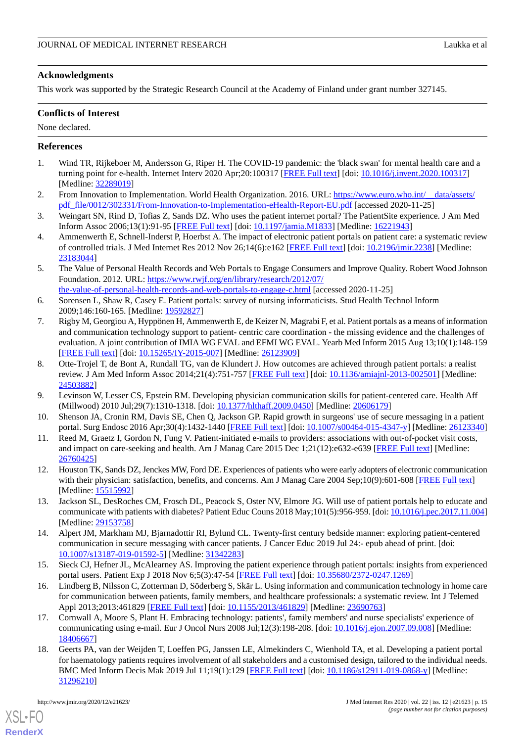## **Acknowledgments**

This work was supported by the Strategic Research Council at the Academy of Finland under grant number 327145.

## **Conflicts of Interest**

None declared.

## <span id="page-15-0"></span>**References**

- <span id="page-15-1"></span>1. Wind TR, Rijkeboer M, Andersson G, Riper H. The COVID-19 pandemic: the 'black swan' for mental health care and a turning point for e-health. Internet Interv 2020 Apr;20:100317 [[FREE Full text](https://linkinghub.elsevier.com/retrieve/pii/S2214-7829(20)30046-4)] [doi: [10.1016/j.invent.2020.100317](http://dx.doi.org/10.1016/j.invent.2020.100317)] [Medline: [32289019](http://www.ncbi.nlm.nih.gov/entrez/query.fcgi?cmd=Retrieve&db=PubMed&list_uids=32289019&dopt=Abstract)]
- <span id="page-15-2"></span>2. From Innovation to Implementation. World Health Organization. 2016. URL: [https://www.euro.who.int/\\_\\_data/assets/](https://www.euro.who.int/__data/assets/pdf_file/0012/302331/From-Innovation-to-Implementation-eHealth-Report-EU.pdf) [pdf\\_file/0012/302331/From-Innovation-to-Implementation-eHealth-Report-EU.pdf](https://www.euro.who.int/__data/assets/pdf_file/0012/302331/From-Innovation-to-Implementation-eHealth-Report-EU.pdf) [accessed 2020-11-25]
- <span id="page-15-3"></span>3. Weingart SN, Rind D, Tofias Z, Sands DZ. Who uses the patient internet portal? The PatientSite experience. J Am Med Inform Assoc 2006;13(1):91-95 [\[FREE Full text](http://europepmc.org/abstract/MED/16221943)] [doi: [10.1197/jamia.M1833\]](http://dx.doi.org/10.1197/jamia.M1833) [Medline: [16221943](http://www.ncbi.nlm.nih.gov/entrez/query.fcgi?cmd=Retrieve&db=PubMed&list_uids=16221943&dopt=Abstract)]
- <span id="page-15-4"></span>4. Ammenwerth E, Schnell-Inderst P, Hoerbst A. The impact of electronic patient portals on patient care: a systematic review of controlled trials. J Med Internet Res 2012 Nov 26;14(6):e162 [\[FREE Full text\]](https://www.jmir.org/2012/6/e162/) [doi: [10.2196/jmir.2238\]](http://dx.doi.org/10.2196/jmir.2238) [Medline: [23183044](http://www.ncbi.nlm.nih.gov/entrez/query.fcgi?cmd=Retrieve&db=PubMed&list_uids=23183044&dopt=Abstract)]
- <span id="page-15-5"></span>5. The Value of Personal Health Records and Web Portals to Engage Consumers and Improve Quality. Robert Wood Johnson Foundation. 2012. URL: [https://www.rwjf.org/en/library/research/2012/07/](https://www.rwjf.org/en/library/research/2012/07/the-value-of-personal-health-records-and-web-portals-to-engage-c.html)
- <span id="page-15-6"></span>[the-value-of-personal-health-records-and-web-portals-to-engage-c.html](https://www.rwjf.org/en/library/research/2012/07/the-value-of-personal-health-records-and-web-portals-to-engage-c.html) [accessed 2020-11-25] 6. Sorensen L, Shaw R, Casey E. Patient portals: survey of nursing informaticists. Stud Health Technol Inform
- <span id="page-15-7"></span>2009;146:160-165. [Medline: [19592827](http://www.ncbi.nlm.nih.gov/entrez/query.fcgi?cmd=Retrieve&db=PubMed&list_uids=19592827&dopt=Abstract)] 7. Rigby M, Georgiou A, Hyppönen H, Ammenwerth E, de Keizer N, Magrabi F, et al. Patient portals as a means of information and communication technology support to patient- centric care coordination - the missing evidence and the challenges of evaluation. A joint contribution of IMIA WG EVAL and EFMI WG EVAL. Yearb Med Inform 2015 Aug 13;10(1):148-159 [[FREE Full text](http://www.thieme-connect.com/DOI/DOI?10.15265/IY-2015-007)] [doi: [10.15265/IY-2015-007\]](http://dx.doi.org/10.15265/IY-2015-007) [Medline: [26123909\]](http://www.ncbi.nlm.nih.gov/entrez/query.fcgi?cmd=Retrieve&db=PubMed&list_uids=26123909&dopt=Abstract)
- <span id="page-15-9"></span><span id="page-15-8"></span>8. Otte-Trojel T, de Bont A, Rundall TG, van de Klundert J. How outcomes are achieved through patient portals: a realist review. J Am Med Inform Assoc 2014;21(4):751-757 [[FREE Full text](http://europepmc.org/abstract/MED/24503882)] [doi: [10.1136/amiajnl-2013-002501\]](http://dx.doi.org/10.1136/amiajnl-2013-002501) [Medline: [24503882](http://www.ncbi.nlm.nih.gov/entrez/query.fcgi?cmd=Retrieve&db=PubMed&list_uids=24503882&dopt=Abstract)]
- <span id="page-15-10"></span>9. Levinson W, Lesser CS, Epstein RM. Developing physician communication skills for patient-centered care. Health Aff (Millwood) 2010 Jul;29(7):1310-1318. [doi: [10.1377/hlthaff.2009.0450\]](http://dx.doi.org/10.1377/hlthaff.2009.0450) [Medline: [20606179](http://www.ncbi.nlm.nih.gov/entrez/query.fcgi?cmd=Retrieve&db=PubMed&list_uids=20606179&dopt=Abstract)]
- <span id="page-15-11"></span>10. Shenson JA, Cronin RM, Davis SE, Chen Q, Jackson GP. Rapid growth in surgeons' use of secure messaging in a patient portal. Surg Endosc 2016 Apr;30(4):1432-1440 [\[FREE Full text](http://europepmc.org/abstract/MED/26123340)] [doi: [10.1007/s00464-015-4347-y](http://dx.doi.org/10.1007/s00464-015-4347-y)] [Medline: [26123340](http://www.ncbi.nlm.nih.gov/entrez/query.fcgi?cmd=Retrieve&db=PubMed&list_uids=26123340&dopt=Abstract)]
- <span id="page-15-12"></span>11. Reed M, Graetz I, Gordon N, Fung V. Patient-initiated e-mails to providers: associations with out-of-pocket visit costs, and impact on care-seeking and health. Am J Manag Care 2015 Dec 1;21(12):e632-e639 [[FREE Full text](https://www.ajmc.com/pubMed.php?pii=86469)] [Medline: [26760425](http://www.ncbi.nlm.nih.gov/entrez/query.fcgi?cmd=Retrieve&db=PubMed&list_uids=26760425&dopt=Abstract)]
- <span id="page-15-13"></span>12. Houston TK, Sands DZ, Jenckes MW, Ford DE. Experiences of patients who were early adopters of electronic communication with their physician: satisfaction, benefits, and concerns. Am J Manag Care 2004 Sep;10(9):601-608 [[FREE Full text](https://www.ajmc.com/pubMed.php?pii=2676)] [Medline: [15515992](http://www.ncbi.nlm.nih.gov/entrez/query.fcgi?cmd=Retrieve&db=PubMed&list_uids=15515992&dopt=Abstract)]
- <span id="page-15-14"></span>13. Jackson SL, DesRoches CM, Frosch DL, Peacock S, Oster NV, Elmore JG. Will use of patient portals help to educate and communicate with patients with diabetes? Patient Educ Couns 2018 May;101(5):956-959. [doi: [10.1016/j.pec.2017.11.004\]](http://dx.doi.org/10.1016/j.pec.2017.11.004) [Medline: [29153758](http://www.ncbi.nlm.nih.gov/entrez/query.fcgi?cmd=Retrieve&db=PubMed&list_uids=29153758&dopt=Abstract)]
- <span id="page-15-15"></span>14. Alpert JM, Markham MJ, Bjarnadottir RI, Bylund CL. Twenty-first century bedside manner: exploring patient-centered communication in secure messaging with cancer patients. J Cancer Educ 2019 Jul 24:- epub ahead of print. [doi: [10.1007/s13187-019-01592-5\]](http://dx.doi.org/10.1007/s13187-019-01592-5) [Medline: [31342283\]](http://www.ncbi.nlm.nih.gov/entrez/query.fcgi?cmd=Retrieve&db=PubMed&list_uids=31342283&dopt=Abstract)
- <span id="page-15-16"></span>15. Sieck CJ, Hefner JL, McAlearney AS. Improving the patient experience through patient portals: insights from experienced portal users. Patient Exp J 2018 Nov 6;5(3):47-54 [[FREE Full text\]](https://doi.org/10.35680/2372-0247.1269) [doi: [10.35680/2372-0247.1269](http://dx.doi.org/10.35680/2372-0247.1269)]
- <span id="page-15-17"></span>16. Lindberg B, Nilsson C, Zotterman D, Söderberg S, Skär L. Using information and communication technology in home care for communication between patients, family members, and healthcare professionals: a systematic review. Int J Telemed Appl 2013;2013:461829 [\[FREE Full text\]](https://doi.org/10.1155/2013/461829) [doi: [10.1155/2013/461829](http://dx.doi.org/10.1155/2013/461829)] [Medline: [23690763\]](http://www.ncbi.nlm.nih.gov/entrez/query.fcgi?cmd=Retrieve&db=PubMed&list_uids=23690763&dopt=Abstract)
- 17. Cornwall A, Moore S, Plant H. Embracing technology: patients', family members' and nurse specialists' experience of communicating using e-mail. Eur J Oncol Nurs 2008 Jul;12(3):198-208. [doi: [10.1016/j.ejon.2007.09.008\]](http://dx.doi.org/10.1016/j.ejon.2007.09.008) [Medline: [18406667](http://www.ncbi.nlm.nih.gov/entrez/query.fcgi?cmd=Retrieve&db=PubMed&list_uids=18406667&dopt=Abstract)]
- 18. Geerts PA, van der Weijden T, Loeffen PG, Janssen LE, Almekinders C, Wienhold TA, et al. Developing a patient portal for haematology patients requires involvement of all stakeholders and a customised design, tailored to the individual needs. BMC Med Inform Decis Mak 2019 Jul 11;19(1):129 [\[FREE Full text\]](https://bmcmedinformdecismak.biomedcentral.com/articles/10.1186/s12911-019-0868-y) [doi: [10.1186/s12911-019-0868-y\]](http://dx.doi.org/10.1186/s12911-019-0868-y) [Medline: [31296210](http://www.ncbi.nlm.nih.gov/entrez/query.fcgi?cmd=Retrieve&db=PubMed&list_uids=31296210&dopt=Abstract)]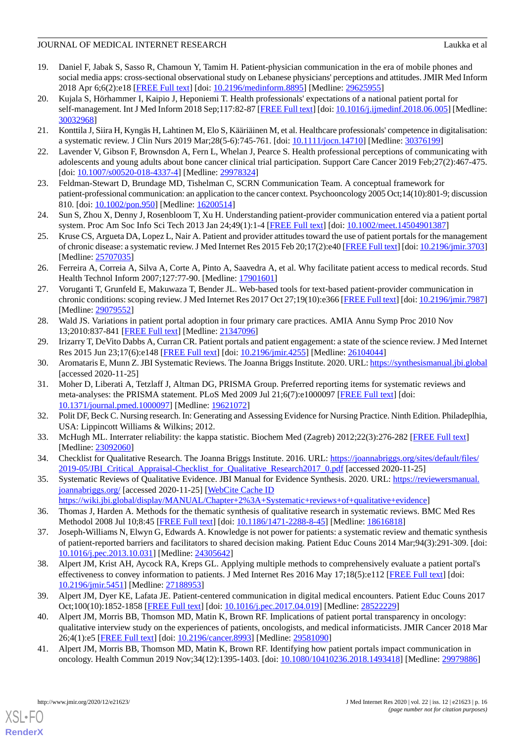- <span id="page-16-0"></span>19. Daniel F, Jabak S, Sasso R, Chamoun Y, Tamim H. Patient-physician communication in the era of mobile phones and social media apps: cross-sectional observational study on Lebanese physicians' perceptions and attitudes. JMIR Med Inform 2018 Apr 6;6(2):e18 [[FREE Full text\]](https://medinform.jmir.org/2018/2/e18/) [doi: [10.2196/medinform.8895](http://dx.doi.org/10.2196/medinform.8895)] [Medline: [29625955](http://www.ncbi.nlm.nih.gov/entrez/query.fcgi?cmd=Retrieve&db=PubMed&list_uids=29625955&dopt=Abstract)]
- <span id="page-16-1"></span>20. Kujala S, Hörhammer I, Kaipio J, Heponiemi T. Health professionals' expectations of a national patient portal for self-management. Int J Med Inform 2018 Sep;117:82-87 [\[FREE Full text\]](https://linkinghub.elsevier.com/retrieve/pii/S1386-5056(18)30348-4) [doi: [10.1016/j.ijmedinf.2018.06.005\]](http://dx.doi.org/10.1016/j.ijmedinf.2018.06.005) [Medline: [30032968](http://www.ncbi.nlm.nih.gov/entrez/query.fcgi?cmd=Retrieve&db=PubMed&list_uids=30032968&dopt=Abstract)]
- <span id="page-16-3"></span><span id="page-16-2"></span>21. Konttila J, Siira H, Kyngäs H, Lahtinen M, Elo S, Kääriäinen M, et al. Healthcare professionals' competence in digitalisation: a systematic review. J Clin Nurs 2019 Mar;28(5-6):745-761. [doi: [10.1111/jocn.14710\]](http://dx.doi.org/10.1111/jocn.14710) [Medline: [30376199\]](http://www.ncbi.nlm.nih.gov/entrez/query.fcgi?cmd=Retrieve&db=PubMed&list_uids=30376199&dopt=Abstract)
- <span id="page-16-4"></span>22. Lavender V, Gibson F, Brownsdon A, Fern L, Whelan J, Pearce S. Health professional perceptions of communicating with adolescents and young adults about bone cancer clinical trial participation. Support Care Cancer 2019 Feb;27(2):467-475. [doi: [10.1007/s00520-018-4337-4](http://dx.doi.org/10.1007/s00520-018-4337-4)] [Medline: [29978324\]](http://www.ncbi.nlm.nih.gov/entrez/query.fcgi?cmd=Retrieve&db=PubMed&list_uids=29978324&dopt=Abstract)
- <span id="page-16-5"></span>23. Feldman-Stewart D, Brundage MD, Tishelman C, SCRN Communication Team. A conceptual framework for patient-professional communication: an application to the cancer context. Psychooncology 2005 Oct;14(10):801-9; discussion 810. [doi: [10.1002/pon.950\]](http://dx.doi.org/10.1002/pon.950) [Medline: [16200514\]](http://www.ncbi.nlm.nih.gov/entrez/query.fcgi?cmd=Retrieve&db=PubMed&list_uids=16200514&dopt=Abstract)
- <span id="page-16-6"></span>24. Sun S, Zhou X, Denny J, Rosenbloom T, Xu H. Understanding patient-provider communication entered via a patient portal system. Proc Am Soc Info Sci Tech 2013 Jan 24;49(1):1-4 [\[FREE Full text](https://doi.org/10.1002/meet.14504901175)] [doi: [10.1002/meet.14504901387\]](http://dx.doi.org/10.1002/meet.14504901387)
- <span id="page-16-7"></span>25. Kruse CS, Argueta DA, Lopez L, Nair A. Patient and provider attitudes toward the use of patient portals for the management of chronic disease: a systematic review. J Med Internet Res 2015 Feb 20;17(2):e40 [[FREE Full text\]](https://www.jmir.org/2015/2/e40/) [doi: [10.2196/jmir.3703\]](http://dx.doi.org/10.2196/jmir.3703) [Medline: [25707035](http://www.ncbi.nlm.nih.gov/entrez/query.fcgi?cmd=Retrieve&db=PubMed&list_uids=25707035&dopt=Abstract)]
- <span id="page-16-8"></span>26. Ferreira A, Correia A, Silva A, Corte A, Pinto A, Saavedra A, et al. Why facilitate patient access to medical records. Stud Health Technol Inform 2007;127:77-90. [Medline: [17901601](http://www.ncbi.nlm.nih.gov/entrez/query.fcgi?cmd=Retrieve&db=PubMed&list_uids=17901601&dopt=Abstract)]
- <span id="page-16-9"></span>27. Voruganti T, Grunfeld E, Makuwaza T, Bender JL. Web-based tools for text-based patient-provider communication in chronic conditions: scoping review. J Med Internet Res 2017 Oct 27;19(10):e366 [\[FREE Full text](https://www.jmir.org/2017/10/e366/)] [doi: [10.2196/jmir.7987](http://dx.doi.org/10.2196/jmir.7987)] [Medline: [29079552](http://www.ncbi.nlm.nih.gov/entrez/query.fcgi?cmd=Retrieve&db=PubMed&list_uids=29079552&dopt=Abstract)]
- <span id="page-16-11"></span><span id="page-16-10"></span>28. Wald JS. Variations in patient portal adoption in four primary care practices. AMIA Annu Symp Proc 2010 Nov 13;2010:837-841 [\[FREE Full text\]](http://europepmc.org/abstract/MED/21347096) [Medline: [21347096](http://www.ncbi.nlm.nih.gov/entrez/query.fcgi?cmd=Retrieve&db=PubMed&list_uids=21347096&dopt=Abstract)]
- <span id="page-16-12"></span>29. Irizarry T, DeVito Dabbs A, Curran CR. Patient portals and patient engagement: a state of the science review. J Med Internet Res 2015 Jun 23;17(6):e148 [\[FREE Full text\]](https://www.jmir.org/2015/6/e148/) [doi: [10.2196/jmir.4255\]](http://dx.doi.org/10.2196/jmir.4255) [Medline: [26104044\]](http://www.ncbi.nlm.nih.gov/entrez/query.fcgi?cmd=Retrieve&db=PubMed&list_uids=26104044&dopt=Abstract)
- 30. Aromataris E, Munn Z. JBI Systematic Reviews. The Joanna Briggs Institute. 2020. URL:<https://synthesismanual.jbi.global> [accessed 2020-11-25]
- <span id="page-16-14"></span><span id="page-16-13"></span>31. Moher D, Liberati A, Tetzlaff J, Altman DG, PRISMA Group. Preferred reporting items for systematic reviews and meta-analyses: the PRISMA statement. PLoS Med 2009 Jul 21;6(7):e1000097 [[FREE Full text](https://dx.plos.org/10.1371/journal.pmed.1000097)] [doi: [10.1371/journal.pmed.1000097](http://dx.doi.org/10.1371/journal.pmed.1000097)] [Medline: [19621072](http://www.ncbi.nlm.nih.gov/entrez/query.fcgi?cmd=Retrieve&db=PubMed&list_uids=19621072&dopt=Abstract)]
- <span id="page-16-15"></span>32. Polit DF, Beck C. Nursing research. In: Generating and Assessing Evidence for Nursing Practice. Ninth Edition. Philadeplhia, USA: Lippincott Williams & Wilkins; 2012.
- <span id="page-16-16"></span>33. McHugh ML. Interrater reliability: the kappa statistic. Biochem Med (Zagreb) 2012;22(3):276-282 [\[FREE Full text\]](http://www.biochemia-medica.com/2012/22/276) [Medline: [23092060](http://www.ncbi.nlm.nih.gov/entrez/query.fcgi?cmd=Retrieve&db=PubMed&list_uids=23092060&dopt=Abstract)]
- <span id="page-16-17"></span>34. Checklist for Qualitative Research. The Joanna Briggs Institute. 2016. URL: [https://joannabriggs.org/sites/default/files/](https://joannabriggs.org/sites/default/files/2019-05/JBI_Critical_Appraisal-Checklist_for_Qualitative_Research2017_0.pdf) [2019-05/JBI\\_Critical\\_Appraisal-Checklist\\_for\\_Qualitative\\_Research2017\\_0.pdf](https://joannabriggs.org/sites/default/files/2019-05/JBI_Critical_Appraisal-Checklist_for_Qualitative_Research2017_0.pdf) [accessed 2020-11-25]
- <span id="page-16-18"></span>35. Systematic Reviews of Qualitative Evidence. JBI Manual for Evidence Synthesis. 2020. URL: [https://reviewersmanual.](https://reviewersmanual.joannabriggs.org/) [joannabriggs.org/](https://reviewersmanual.joannabriggs.org/) [accessed 2020-11-25] [[WebCite Cache ID](http://www.webcitation.org/

                                https://wiki.jbi.global/display/MANUAL/Chapter+2%3A+Systematic+reviews+of+qualitative+evidence)
- <span id="page-16-19"></span>[https://wiki.jbi.global/display/MANUAL/Chapter+2%3A+Systematic+reviews+of+qualitative+evidence](http://www.webcitation.org/

                                https://wiki.jbi.global/display/MANUAL/Chapter+2%3A+Systematic+reviews+of+qualitative+evidence)] 36. Thomas J, Harden A. Methods for the thematic synthesis of qualitative research in systematic reviews. BMC Med Res Methodol 2008 Jul 10;8:45 [[FREE Full text](https://bmcmedresmethodol.biomedcentral.com/articles/10.1186/1471-2288-8-45)] [doi: [10.1186/1471-2288-8-45\]](http://dx.doi.org/10.1186/1471-2288-8-45) [Medline: [18616818\]](http://www.ncbi.nlm.nih.gov/entrez/query.fcgi?cmd=Retrieve&db=PubMed&list_uids=18616818&dopt=Abstract)
- <span id="page-16-20"></span>37. Joseph-Williams N, Elwyn G, Edwards A. Knowledge is not power for patients: a systematic review and thematic synthesis of patient-reported barriers and facilitators to shared decision making. Patient Educ Couns 2014 Mar;94(3):291-309. [doi: [10.1016/j.pec.2013.10.031\]](http://dx.doi.org/10.1016/j.pec.2013.10.031) [Medline: [24305642](http://www.ncbi.nlm.nih.gov/entrez/query.fcgi?cmd=Retrieve&db=PubMed&list_uids=24305642&dopt=Abstract)]
- <span id="page-16-21"></span>38. Alpert JM, Krist AH, Aycock RA, Kreps GL. Applying multiple methods to comprehensively evaluate a patient portal's effectiveness to convey information to patients. J Med Internet Res 2016 May 17;18(5):e112 [[FREE Full text](https://www.jmir.org/2016/5/e112/)] [doi: [10.2196/jmir.5451](http://dx.doi.org/10.2196/jmir.5451)] [Medline: [27188953](http://www.ncbi.nlm.nih.gov/entrez/query.fcgi?cmd=Retrieve&db=PubMed&list_uids=27188953&dopt=Abstract)]
- <span id="page-16-22"></span>39. Alpert JM, Dyer KE, Lafata JE. Patient-centered communication in digital medical encounters. Patient Educ Couns 2017 Oct;100(10):1852-1858 [\[FREE Full text\]](http://europepmc.org/abstract/MED/28522229) [doi: [10.1016/j.pec.2017.04.019\]](http://dx.doi.org/10.1016/j.pec.2017.04.019) [Medline: [28522229\]](http://www.ncbi.nlm.nih.gov/entrez/query.fcgi?cmd=Retrieve&db=PubMed&list_uids=28522229&dopt=Abstract)
- 40. Alpert JM, Morris BB, Thomson MD, Matin K, Brown RF. Implications of patient portal transparency in oncology: qualitative interview study on the experiences of patients, oncologists, and medical informaticists. JMIR Cancer 2018 Mar 26;4(1):e5 [\[FREE Full text](https://cancer.jmir.org/2018/1/e5/)] [doi: [10.2196/cancer.8993\]](http://dx.doi.org/10.2196/cancer.8993) [Medline: [29581090\]](http://www.ncbi.nlm.nih.gov/entrez/query.fcgi?cmd=Retrieve&db=PubMed&list_uids=29581090&dopt=Abstract)
- 41. Alpert JM, Morris BB, Thomson MD, Matin K, Brown RF. Identifying how patient portals impact communication in oncology. Health Commun 2019 Nov;34(12):1395-1403. [doi: [10.1080/10410236.2018.1493418\]](http://dx.doi.org/10.1080/10410236.2018.1493418) [Medline: [29979886\]](http://www.ncbi.nlm.nih.gov/entrez/query.fcgi?cmd=Retrieve&db=PubMed&list_uids=29979886&dopt=Abstract)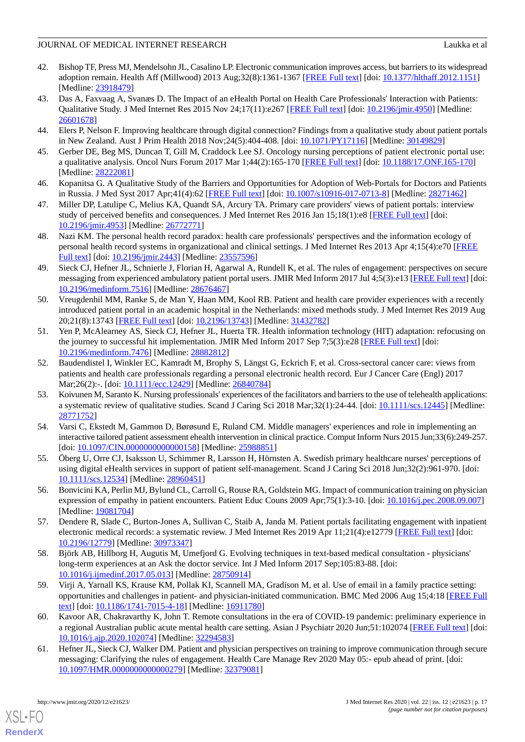- <span id="page-17-0"></span>42. Bishop TF, Press MJ, Mendelsohn JL, Casalino LP. Electronic communication improves access, but barriers to its widespread adoption remain. Health Aff (Millwood) 2013 Aug;32(8):1361-1367 [[FREE Full text](http://europepmc.org/abstract/MED/23918479)] [doi: [10.1377/hlthaff.2012.1151\]](http://dx.doi.org/10.1377/hlthaff.2012.1151) [Medline: [23918479](http://www.ncbi.nlm.nih.gov/entrez/query.fcgi?cmd=Retrieve&db=PubMed&list_uids=23918479&dopt=Abstract)]
- <span id="page-17-1"></span>43. Das A, Faxvaag A, Svanæs D. The Impact of an eHealth Portal on Health Care Professionals' Interaction with Patients: Qualitative Study. J Med Internet Res 2015 Nov 24;17(11):e267 [[FREE Full text](https://www.jmir.org/2015/11/e267/)] [doi: [10.2196/jmir.4950](http://dx.doi.org/10.2196/jmir.4950)] [Medline: [26601678](http://www.ncbi.nlm.nih.gov/entrez/query.fcgi?cmd=Retrieve&db=PubMed&list_uids=26601678&dopt=Abstract)]
- <span id="page-17-3"></span><span id="page-17-2"></span>44. Elers P, Nelson F. Improving healthcare through digital connection? Findings from a qualitative study about patient portals in New Zealand. Aust J Prim Health 2018 Nov;24(5):404-408. [doi: [10.1071/PY17116\]](http://dx.doi.org/10.1071/PY17116) [Medline: [30149829](http://www.ncbi.nlm.nih.gov/entrez/query.fcgi?cmd=Retrieve&db=PubMed&list_uids=30149829&dopt=Abstract)]
- <span id="page-17-4"></span>45. Gerber DE, Beg MS, Duncan T, Gill M, Craddock Lee SJ. Oncology nursing perceptions of patient electronic portal use: a qualitative analysis. Oncol Nurs Forum 2017 Mar 1;44(2):165-170 [[FREE Full text](https://doi.org/10.1188/17.ONF.165-170)] [doi: [10.1188/17.ONF.165-170](http://dx.doi.org/10.1188/17.ONF.165-170)] [Medline: [28222081](http://www.ncbi.nlm.nih.gov/entrez/query.fcgi?cmd=Retrieve&db=PubMed&list_uids=28222081&dopt=Abstract)]
- <span id="page-17-5"></span>46. Kopanitsa G. A Qualitative Study of the Barriers and Opportunities for Adoption of Web-Portals for Doctors and Patients in Russia. J Med Syst 2017 Apr;41(4):62 [\[FREE Full text\]](https://doi.org/10.1007/s10916-017-0713-8) [doi: [10.1007/s10916-017-0713-8](http://dx.doi.org/10.1007/s10916-017-0713-8)] [Medline: [28271462](http://www.ncbi.nlm.nih.gov/entrez/query.fcgi?cmd=Retrieve&db=PubMed&list_uids=28271462&dopt=Abstract)]
- <span id="page-17-6"></span>47. Miller DP, Latulipe C, Melius KA, Quandt SA, Arcury TA. Primary care providers' views of patient portals: interview study of perceived benefits and consequences. J Med Internet Res 2016 Jan 15;18(1):e8 [\[FREE Full text\]](https://www.jmir.org/2016/1/e8/) [doi: [10.2196/jmir.4953](http://dx.doi.org/10.2196/jmir.4953)] [Medline: [26772771](http://www.ncbi.nlm.nih.gov/entrez/query.fcgi?cmd=Retrieve&db=PubMed&list_uids=26772771&dopt=Abstract)]
- <span id="page-17-7"></span>48. Nazi KM. The personal health record paradox: health care professionals' perspectives and the information ecology of personal health record systems in organizational and clinical settings. J Med Internet Res 2013 Apr 4;15(4):e70 [[FREE](https://www.jmir.org/2013/4/e70/) [Full text\]](https://www.jmir.org/2013/4/e70/) [doi: [10.2196/jmir.2443](http://dx.doi.org/10.2196/jmir.2443)] [Medline: [23557596\]](http://www.ncbi.nlm.nih.gov/entrez/query.fcgi?cmd=Retrieve&db=PubMed&list_uids=23557596&dopt=Abstract)
- <span id="page-17-8"></span>49. Sieck CJ, Hefner JL, Schnierle J, Florian H, Agarwal A, Rundell K, et al. The rules of engagement: perspectives on secure messaging from experienced ambulatory patient portal users. JMIR Med Inform 2017 Jul 4;5(3):e13 [[FREE Full text](https://medinform.jmir.org/2017/3/e13/)] [doi: [10.2196/medinform.7516\]](http://dx.doi.org/10.2196/medinform.7516) [Medline: [28676467](http://www.ncbi.nlm.nih.gov/entrez/query.fcgi?cmd=Retrieve&db=PubMed&list_uids=28676467&dopt=Abstract)]
- <span id="page-17-9"></span>50. Vreugdenhil MM, Ranke S, de Man Y, Haan MM, Kool RB. Patient and health care provider experiences with a recently introduced patient portal in an academic hospital in the Netherlands: mixed methods study. J Med Internet Res 2019 Aug 20;21(8):13743 [[FREE Full text\]](https://www.jmir.org/2019/8/13743/) [doi: [10.2196/13743](http://dx.doi.org/10.2196/13743)] [Medline: [31432782](http://www.ncbi.nlm.nih.gov/entrez/query.fcgi?cmd=Retrieve&db=PubMed&list_uids=31432782&dopt=Abstract)]
- <span id="page-17-10"></span>51. Yen P, McAlearney AS, Sieck CJ, Hefner JL, Huerta TR. Health information technology (HIT) adaptation: refocusing on the journey to successful hit implementation. JMIR Med Inform 2017 Sep 7;5(3):e28 [[FREE Full text](https://medinform.jmir.org/2017/3/e28/)] [doi: [10.2196/medinform.7476\]](http://dx.doi.org/10.2196/medinform.7476) [Medline: [28882812](http://www.ncbi.nlm.nih.gov/entrez/query.fcgi?cmd=Retrieve&db=PubMed&list_uids=28882812&dopt=Abstract)]
- <span id="page-17-11"></span>52. Baudendistel I, Winkler EC, Kamradt M, Brophy S, Längst G, Eckrich F, et al. Cross-sectoral cancer care: views from patients and health care professionals regarding a personal electronic health record. Eur J Cancer Care (Engl) 2017 Mar; 26(2): -. [doi: 10.1111/ecc. 12429] [Medline: [26840784\]](http://www.ncbi.nlm.nih.gov/entrez/query.fcgi?cmd=Retrieve&db=PubMed&list_uids=26840784&dopt=Abstract)
- <span id="page-17-12"></span>53. Koivunen M, Saranto K. Nursing professionals' experiences of the facilitators and barriers to the use of telehealth applications: a systematic review of qualitative studies. Scand J Caring Sci 2018 Mar;32(1):24-44. [doi: [10.1111/scs.12445\]](http://dx.doi.org/10.1111/scs.12445) [Medline: [28771752](http://www.ncbi.nlm.nih.gov/entrez/query.fcgi?cmd=Retrieve&db=PubMed&list_uids=28771752&dopt=Abstract)]
- <span id="page-17-14"></span><span id="page-17-13"></span>54. Varsi C, Ekstedt M, Gammon D, Børøsund E, Ruland CM. Middle managers' experiences and role in implementing an interactive tailored patient assessment ehealth intervention in clinical practice. Comput Inform Nurs 2015 Jun;33(6):249-257. [doi: [10.1097/CIN.0000000000000158\]](http://dx.doi.org/10.1097/CIN.0000000000000158) [Medline: [25988851\]](http://www.ncbi.nlm.nih.gov/entrez/query.fcgi?cmd=Retrieve&db=PubMed&list_uids=25988851&dopt=Abstract)
- <span id="page-17-15"></span>55. Öberg U, Orre CJ, Isaksson U, Schimmer R, Larsson H, Hörnsten A. Swedish primary healthcare nurses' perceptions of using digital eHealth services in support of patient self-management. Scand J Caring Sci 2018 Jun;32(2):961-970. [doi: [10.1111/scs.12534\]](http://dx.doi.org/10.1111/scs.12534) [Medline: [28960451](http://www.ncbi.nlm.nih.gov/entrez/query.fcgi?cmd=Retrieve&db=PubMed&list_uids=28960451&dopt=Abstract)]
- <span id="page-17-16"></span>56. Bonvicini KA, Perlin MJ, Bylund CL, Carroll G, Rouse RA, Goldstein MG. Impact of communication training on physician expression of empathy in patient encounters. Patient Educ Couns 2009 Apr;75(1):3-10. [doi: [10.1016/j.pec.2008.09.007\]](http://dx.doi.org/10.1016/j.pec.2008.09.007) [Medline: [19081704](http://www.ncbi.nlm.nih.gov/entrez/query.fcgi?cmd=Retrieve&db=PubMed&list_uids=19081704&dopt=Abstract)]
- <span id="page-17-17"></span>57. Dendere R, Slade C, Burton-Jones A, Sullivan C, Staib A, Janda M. Patient portals facilitating engagement with inpatient electronic medical records: a systematic review. J Med Internet Res 2019 Apr 11;21(4):e12779 [\[FREE Full text\]](https://www.jmir.org/2019/4/e12779/) [doi: [10.2196/12779\]](http://dx.doi.org/10.2196/12779) [Medline: [30973347\]](http://www.ncbi.nlm.nih.gov/entrez/query.fcgi?cmd=Retrieve&db=PubMed&list_uids=30973347&dopt=Abstract)
- <span id="page-17-18"></span>58. Björk AB, Hillborg H, Augutis M, Umefjord G. Evolving techniques in text-based medical consultation - physicians' long-term experiences at an Ask the doctor service. Int J Med Inform 2017 Sep;105:83-88. [doi: [10.1016/j.ijmedinf.2017.05.013\]](http://dx.doi.org/10.1016/j.ijmedinf.2017.05.013) [Medline: [28750914](http://www.ncbi.nlm.nih.gov/entrez/query.fcgi?cmd=Retrieve&db=PubMed&list_uids=28750914&dopt=Abstract)]
- <span id="page-17-19"></span>59. Virji A, Yarnall KS, Krause KM, Pollak KI, Scannell MA, Gradison M, et al. Use of email in a family practice setting: opportunities and challenges in patient- and physician-initiated communication. BMC Med 2006 Aug 15;4:18 [[FREE Full](https://bmcmedicine.biomedcentral.com/articles/10.1186/1741-7015-4-18) [text](https://bmcmedicine.biomedcentral.com/articles/10.1186/1741-7015-4-18)] [doi: [10.1186/1741-7015-4-18\]](http://dx.doi.org/10.1186/1741-7015-4-18) [Medline: [16911780\]](http://www.ncbi.nlm.nih.gov/entrez/query.fcgi?cmd=Retrieve&db=PubMed&list_uids=16911780&dopt=Abstract)
- 60. Kavoor AR, Chakravarthy K, John T. Remote consultations in the era of COVID-19 pandemic: preliminary experience in a regional Australian public acute mental health care setting. Asian J Psychiatr 2020 Jun;51:102074 [\[FREE Full text](http://europepmc.org/abstract/MED/32294583)] [doi: [10.1016/j.ajp.2020.102074](http://dx.doi.org/10.1016/j.ajp.2020.102074)] [Medline: [32294583](http://www.ncbi.nlm.nih.gov/entrez/query.fcgi?cmd=Retrieve&db=PubMed&list_uids=32294583&dopt=Abstract)]
- 61. Hefner JL, Sieck CJ, Walker DM. Patient and physician perspectives on training to improve communication through secure messaging: Clarifying the rules of engagement. Health Care Manage Rev 2020 May 05:- epub ahead of print. [doi: [10.1097/HMR.0000000000000279](http://dx.doi.org/10.1097/HMR.0000000000000279)] [Medline: [32379081\]](http://www.ncbi.nlm.nih.gov/entrez/query.fcgi?cmd=Retrieve&db=PubMed&list_uids=32379081&dopt=Abstract)